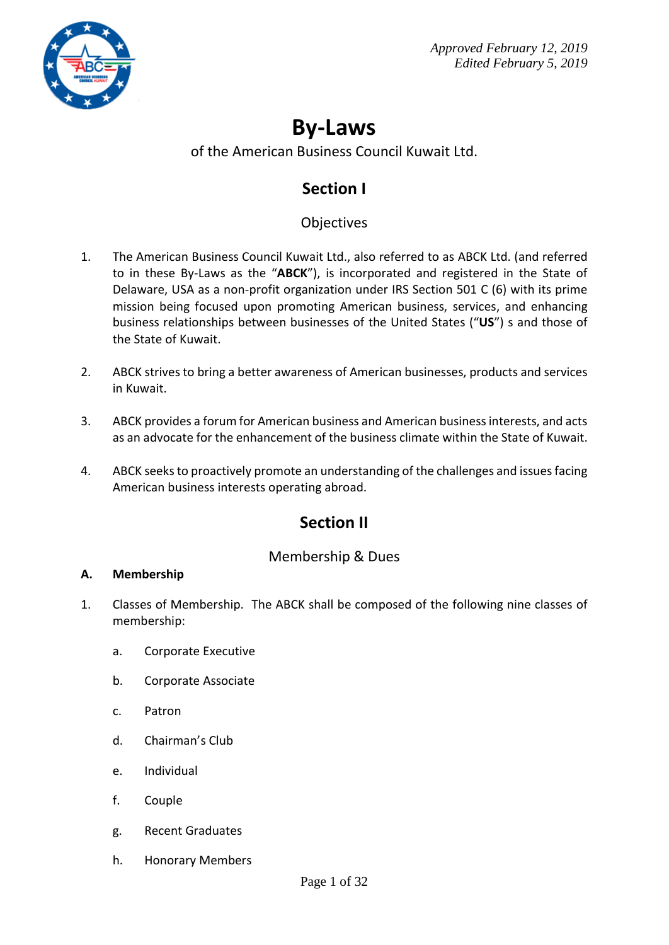

# **By-Laws**

### of the American Business Council Kuwait Ltd.

## **Section I**

## **Objectives**

- 1. The American Business Council Kuwait Ltd., also referred to as ABCK Ltd. (and referred to in these By-Laws as the "**ABCK**"), is incorporated and registered in the State of Delaware, USA as a non-profit organization under IRS Section 501 C (6) with its prime mission being focused upon promoting American business, services, and enhancing business relationships between businesses of the United States ("**US**") s and those of the State of Kuwait.
- 2. ABCK strives to bring a better awareness of American businesses, products and services in Kuwait.
- 3. ABCK provides a forum for American business and American business interests, and acts as an advocate for the enhancement of the business climate within the State of Kuwait.
- 4. ABCK seeks to proactively promote an understanding of the challenges and issues facing American business interests operating abroad.

## **Section II**

### Membership & Dues

#### **A. Membership**

- 1. Classes of Membership. The ABCK shall be composed of the following nine classes of membership:
	- a. Corporate Executive
	- b. Corporate Associate
	- c. Patron
	- d. Chairman's Club
	- e. Individual
	- f. Couple
	- g. Recent Graduates
	- h. Honorary Members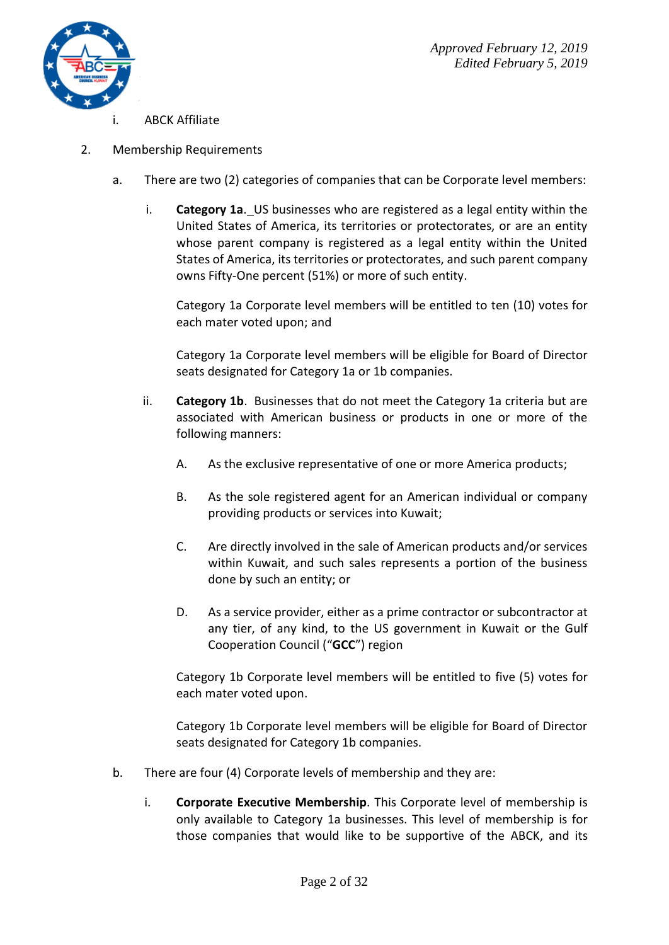

- ABCK Affiliate
- 2. Membership Requirements
	- a. There are two (2) categories of companies that can be Corporate level members:
		- i. **Category 1a**. US businesses who are registered as a legal entity within the United States of America, its territories or protectorates, or are an entity whose parent company is registered as a legal entity within the United States of America, its territories or protectorates, and such parent company owns Fifty-One percent (51%) or more of such entity.

Category 1a Corporate level members will be entitled to ten (10) votes for each mater voted upon; and

Category 1a Corporate level members will be eligible for Board of Director seats designated for Category 1a or 1b companies.

- ii. **Category 1b**. Businesses that do not meet the Category 1a criteria but are associated with American business or products in one or more of the following manners:
	- A. As the exclusive representative of one or more America products;
	- B. As the sole registered agent for an American individual or company providing products or services into Kuwait;
	- C. Are directly involved in the sale of American products and/or services within Kuwait, and such sales represents a portion of the business done by such an entity; or
	- D. As a service provider, either as a prime contractor or subcontractor at any tier, of any kind, to the US government in Kuwait or the Gulf Cooperation Council ("**GCC**") region

Category 1b Corporate level members will be entitled to five (5) votes for each mater voted upon.

Category 1b Corporate level members will be eligible for Board of Director seats designated for Category 1b companies.

- b. There are four (4) Corporate levels of membership and they are:
	- i. **Corporate Executive Membership**. This Corporate level of membership is only available to Category 1a businesses. This level of membership is for those companies that would like to be supportive of the ABCK, and its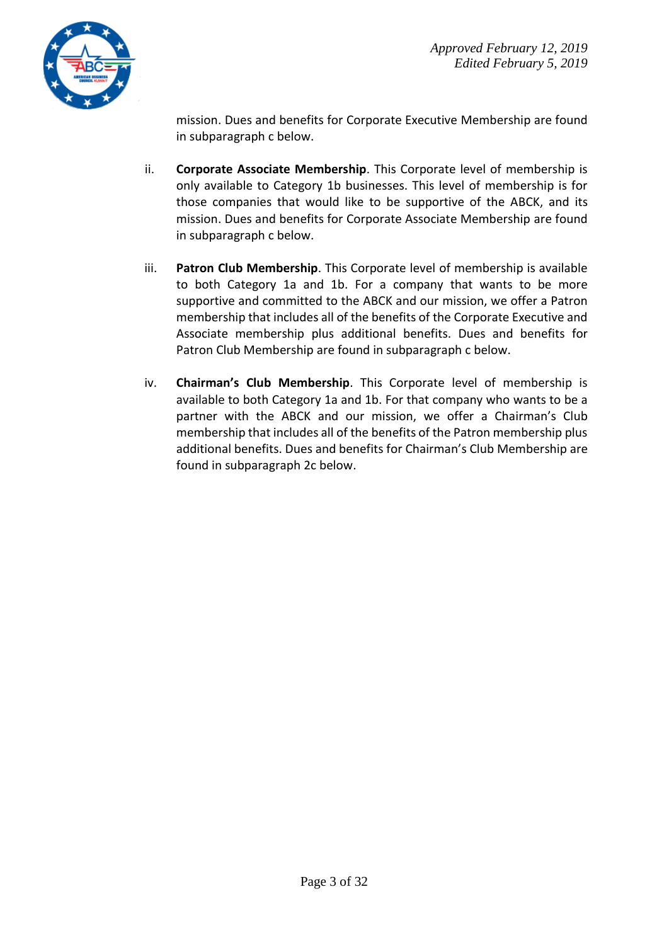

mission. Dues and benefits for Corporate Executive Membership are found in subparagraph c below.

- ii. **Corporate Associate Membership**. This Corporate level of membership is only available to Category 1b businesses. This level of membership is for those companies that would like to be supportive of the ABCK, and its mission. Dues and benefits for Corporate Associate Membership are found in subparagraph c below.
- iii. **Patron Club Membership**. This Corporate level of membership is available to both Category 1a and 1b. For a company that wants to be more supportive and committed to the ABCK and our mission, we offer a Patron membership that includes all of the benefits of the Corporate Executive and Associate membership plus additional benefits. Dues and benefits for Patron Club Membership are found in subparagraph c below.
- iv. **Chairman's Club Membership**. This Corporate level of membership is available to both Category 1a and 1b. For that company who wants to be a partner with the ABCK and our mission, we offer a Chairman's Club membership that includes all of the benefits of the Patron membership plus additional benefits. Dues and benefits for Chairman's Club Membership are found in subparagraph 2c below.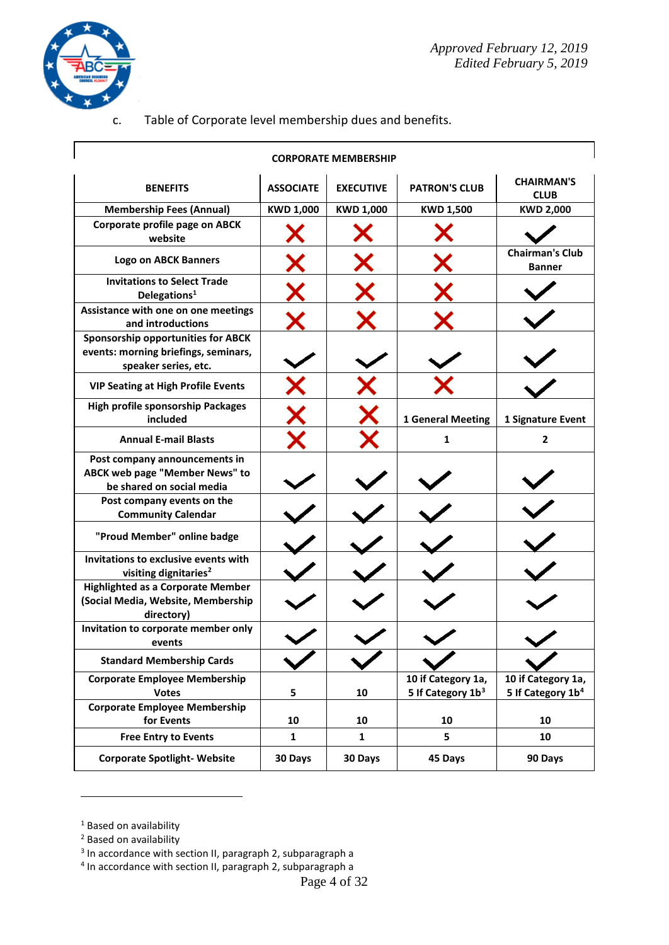

 $\Gamma$ 

ī

c. Table of Corporate level membership dues and benefits.

| <b>CORPORATE MEMBERSHIP</b>                                                                         |                  |                  |                                                     |                                                     |  |
|-----------------------------------------------------------------------------------------------------|------------------|------------------|-----------------------------------------------------|-----------------------------------------------------|--|
| <b>BENEFITS</b>                                                                                     | <b>ASSOCIATE</b> | <b>EXECUTIVE</b> | <b>PATRON'S CLUB</b>                                | <b>CHAIRMAN'S</b><br><b>CLUB</b>                    |  |
| <b>Membership Fees (Annual)</b>                                                                     | <b>KWD 1,000</b> | <b>KWD 1,000</b> | <b>KWD 1,500</b>                                    | <b>KWD 2,000</b>                                    |  |
| Corporate profile page on ABCK<br>website                                                           |                  |                  |                                                     |                                                     |  |
| <b>Logo on ABCK Banners</b>                                                                         |                  |                  |                                                     | <b>Chairman's Club</b><br><b>Banner</b>             |  |
| <b>Invitations to Select Trade</b><br>Delegations <sup>1</sup>                                      |                  |                  |                                                     |                                                     |  |
| Assistance with one on one meetings<br>and introductions                                            |                  |                  |                                                     |                                                     |  |
| Sponsorship opportunities for ABCK<br>events: morning briefings, seminars,<br>speaker series, etc.  |                  |                  |                                                     |                                                     |  |
| <b>VIP Seating at High Profile Events</b>                                                           |                  |                  |                                                     |                                                     |  |
| <b>High profile sponsorship Packages</b><br>included                                                |                  |                  | <b>1 General Meeting</b>                            | 1 Signature Event                                   |  |
| <b>Annual E-mail Blasts</b>                                                                         |                  |                  | 1                                                   | 2                                                   |  |
| Post company announcements in<br><b>ABCK web page "Member News" to</b><br>be shared on social media |                  |                  |                                                     |                                                     |  |
| Post company events on the<br><b>Community Calendar</b>                                             |                  |                  |                                                     |                                                     |  |
| "Proud Member" online badge                                                                         |                  |                  |                                                     |                                                     |  |
| Invitations to exclusive events with<br>visiting dignitaries <sup>2</sup>                           |                  |                  |                                                     |                                                     |  |
| <b>Highlighted as a Corporate Member</b><br>(Social Media, Website, Membership<br>directory)        |                  |                  |                                                     |                                                     |  |
| Invitation to corporate member only<br>events                                                       |                  |                  |                                                     |                                                     |  |
| <b>Standard Membership Cards</b>                                                                    |                  |                  |                                                     |                                                     |  |
| <b>Corporate Employee Membership</b><br><b>Votes</b>                                                | 5                | 10               | 10 if Category 1a,<br>5 If Category 1b <sup>3</sup> | 10 if Category 1a,<br>5 If Category 1b <sup>4</sup> |  |
| <b>Corporate Employee Membership</b><br>for Events                                                  | 10               | 10               | 10                                                  | 10                                                  |  |
| <b>Free Entry to Events</b>                                                                         | $\mathbf{1}$     | $\mathbf{1}$     | 5                                                   | 10                                                  |  |
| <b>Corporate Spotlight- Website</b>                                                                 | 30 Days          | 30 Days          | 45 Days                                             | 90 Days                                             |  |

 $1$  Based on availability

1

<sup>&</sup>lt;sup>2</sup> Based on availability

<sup>&</sup>lt;sup>3</sup> In accordance with section II, paragraph 2, subparagraph a

<sup>&</sup>lt;sup>4</sup> In accordance with section II, paragraph 2, subparagraph a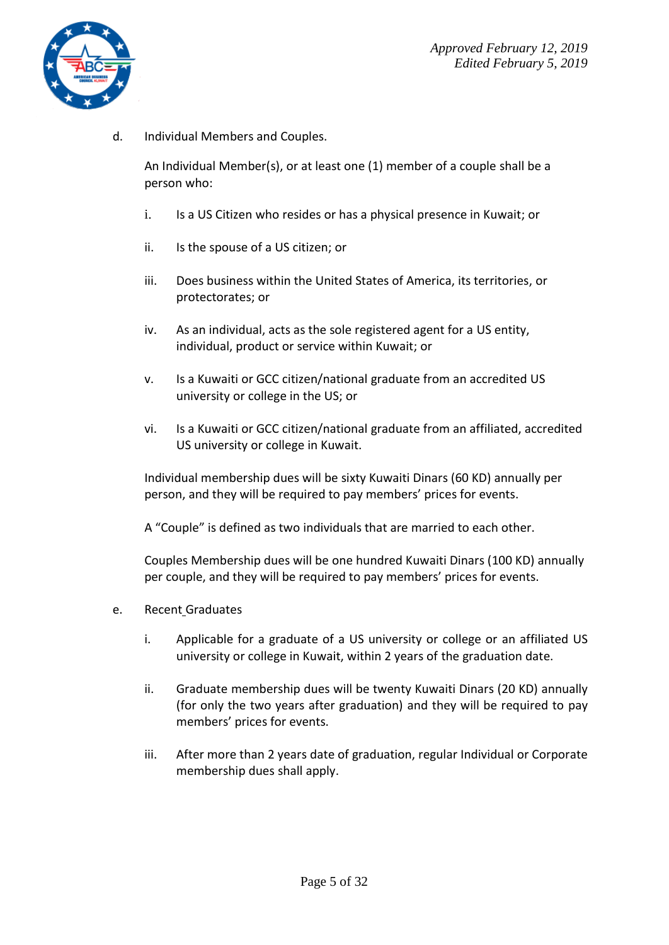

d. Individual Members and Couples.

An Individual Member(s), or at least one (1) member of a couple shall be a person who:

- i. Is a US Citizen who resides or has a physical presence in Kuwait; or
- ii. Is the spouse of a US citizen; or
- iii. Does business within the United States of America, its territories, or protectorates; or
- iv. As an individual, acts as the sole registered agent for a US entity, individual, product or service within Kuwait; or
- v. Is a Kuwaiti or GCC citizen/national graduate from an accredited US university or college in the US; or
- vi. Is a Kuwaiti or GCC citizen/national graduate from an affiliated, accredited US university or college in Kuwait.

Individual membership dues will be sixty Kuwaiti Dinars (60 KD) annually per person, and they will be required to pay members' prices for events.

A "Couple" is defined as two individuals that are married to each other.

Couples Membership dues will be one hundred Kuwaiti Dinars (100 KD) annually per couple, and they will be required to pay members' prices for events.

- e. Recent Graduates
	- i. Applicable for a graduate of a US university or college or an affiliated US university or college in Kuwait, within 2 years of the graduation date.
	- ii. Graduate membership dues will be twenty Kuwaiti Dinars (20 KD) annually (for only the two years after graduation) and they will be required to pay members' prices for events.
	- iii. After more than 2 years date of graduation, regular Individual or Corporate membership dues shall apply.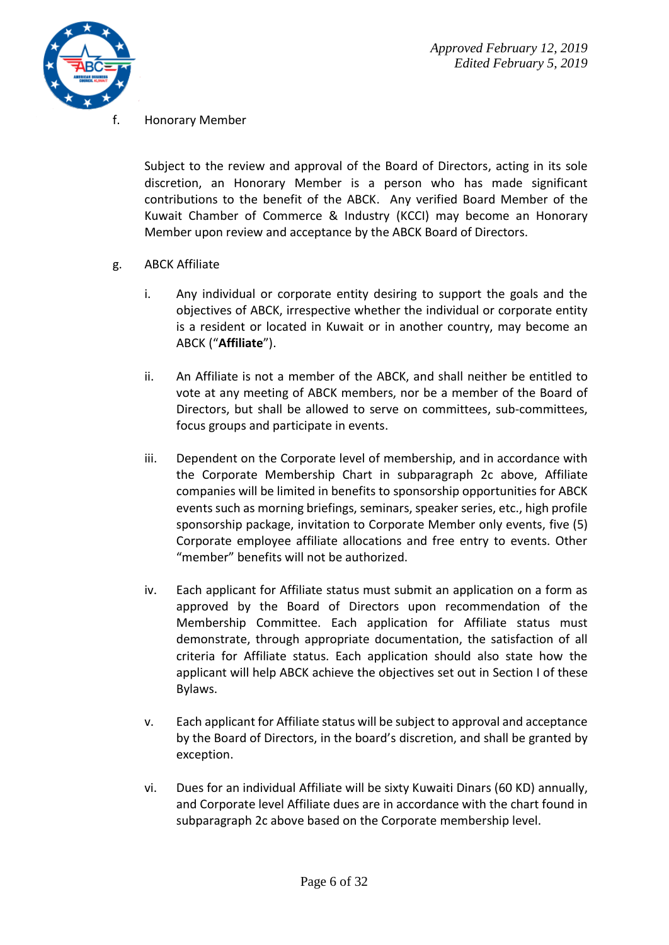

Honorary Member

Subject to the review and approval of the Board of Directors, acting in its sole discretion, an Honorary Member is a person who has made significant contributions to the benefit of the ABCK. Any verified Board Member of the Kuwait Chamber of Commerce & Industry (KCCI) may become an Honorary Member upon review and acceptance by the ABCK Board of Directors.

- g. ABCK Affiliate
	- i. Any individual or corporate entity desiring to support the goals and the objectives of ABCK, irrespective whether the individual or corporate entity is a resident or located in Kuwait or in another country, may become an ABCK ("**Affiliate**").
	- ii. An Affiliate is not a member of the ABCK, and shall neither be entitled to vote at any meeting of ABCK members, nor be a member of the Board of Directors, but shall be allowed to serve on committees, sub-committees, focus groups and participate in events.
	- iii. Dependent on the Corporate level of membership, and in accordance with the Corporate Membership Chart in subparagraph 2c above, Affiliate companies will be limited in benefits to sponsorship opportunities for ABCK events such as morning briefings, seminars, speaker series, etc., high profile sponsorship package, invitation to Corporate Member only events, five (5) Corporate employee affiliate allocations and free entry to events. Other "member" benefits will not be authorized.
	- iv. Each applicant for Affiliate status must submit an application on a form as approved by the Board of Directors upon recommendation of the Membership Committee. Each application for Affiliate status must demonstrate, through appropriate documentation, the satisfaction of all criteria for Affiliate status. Each application should also state how the applicant will help ABCK achieve the objectives set out in Section I of these Bylaws.
	- v. Each applicant for Affiliate status will be subject to approval and acceptance by the Board of Directors, in the board's discretion, and shall be granted by exception.
	- vi. Dues for an individual Affiliate will be sixty Kuwaiti Dinars (60 KD) annually, and Corporate level Affiliate dues are in accordance with the chart found in subparagraph 2c above based on the Corporate membership level.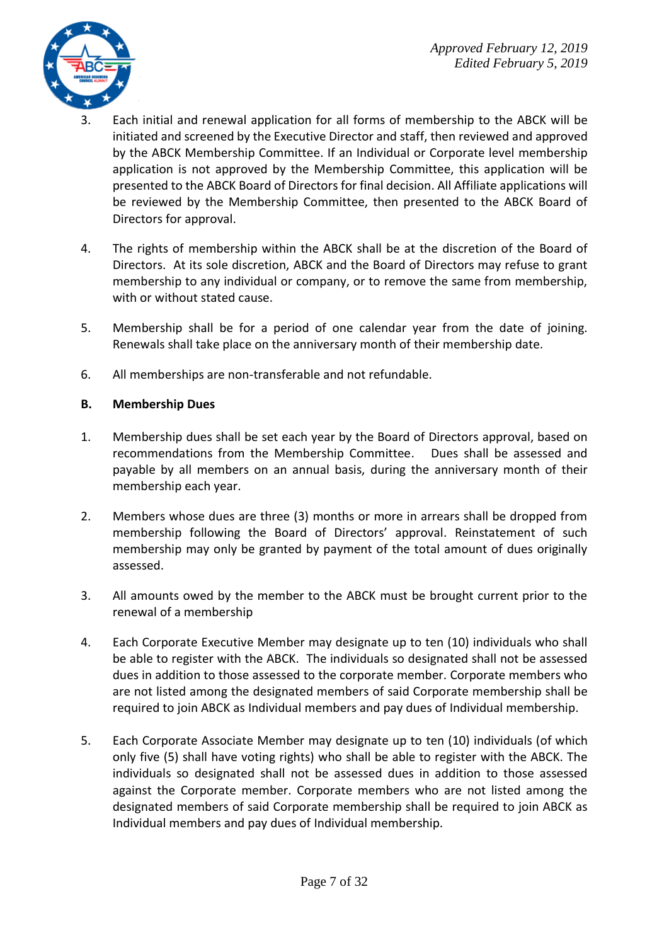

- 3. Each initial and renewal application for all forms of membership to the ABCK will be initiated and screened by the Executive Director and staff, then reviewed and approved by the ABCK Membership Committee. If an Individual or Corporate level membership application is not approved by the Membership Committee, this application will be presented to the ABCK Board of Directors for final decision. All Affiliate applications will be reviewed by the Membership Committee, then presented to the ABCK Board of Directors for approval.
- 4. The rights of membership within the ABCK shall be at the discretion of the Board of Directors. At its sole discretion, ABCK and the Board of Directors may refuse to grant membership to any individual or company, or to remove the same from membership, with or without stated cause.
- 5. Membership shall be for a period of one calendar year from the date of joining. Renewals shall take place on the anniversary month of their membership date.
- 6. All memberships are non-transferable and not refundable.

#### **B. Membership Dues**

- 1. Membership dues shall be set each year by the Board of Directors approval, based on recommendations from the Membership Committee. Dues shall be assessed and payable by all members on an annual basis, during the anniversary month of their membership each year.
- 2. Members whose dues are three (3) months or more in arrears shall be dropped from membership following the Board of Directors' approval. Reinstatement of such membership may only be granted by payment of the total amount of dues originally assessed.
- 3. All amounts owed by the member to the ABCK must be brought current prior to the renewal of a membership
- 4. Each Corporate Executive Member may designate up to ten (10) individuals who shall be able to register with the ABCK. The individuals so designated shall not be assessed dues in addition to those assessed to the corporate member. Corporate members who are not listed among the designated members of said Corporate membership shall be required to join ABCK as Individual members and pay dues of Individual membership.
- 5. Each Corporate Associate Member may designate up to ten (10) individuals (of which only five (5) shall have voting rights) who shall be able to register with the ABCK. The individuals so designated shall not be assessed dues in addition to those assessed against the Corporate member. Corporate members who are not listed among the designated members of said Corporate membership shall be required to join ABCK as Individual members and pay dues of Individual membership.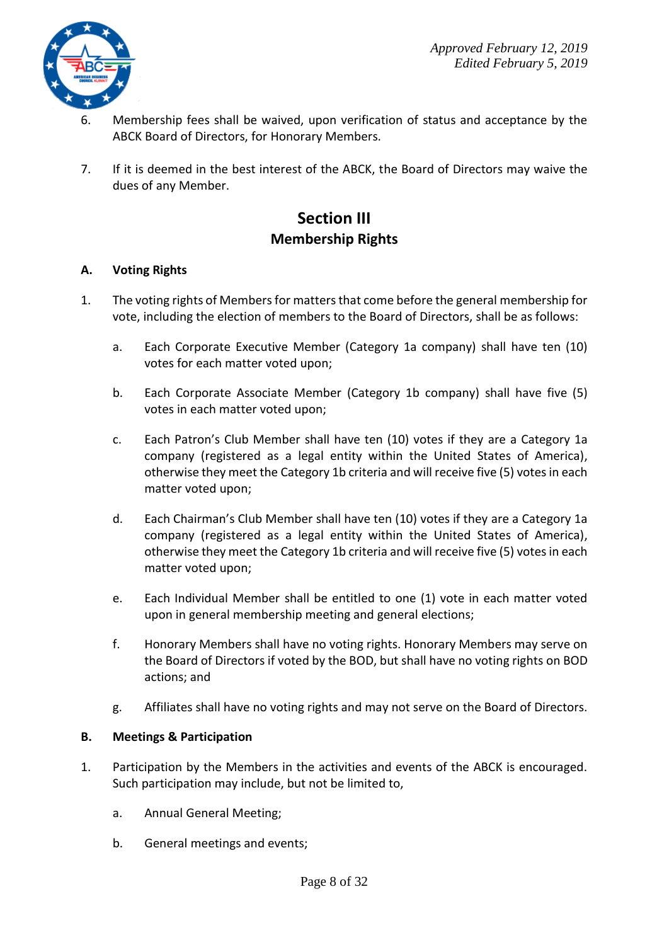

- 6. Membership fees shall be waived, upon verification of status and acceptance by the ABCK Board of Directors, for Honorary Members.
- 7. If it is deemed in the best interest of the ABCK, the Board of Directors may waive the dues of any Member.

## **Section III Membership Rights**

#### **A. Voting Rights**

- 1. The voting rights of Members for matters that come before the general membership for vote, including the election of members to the Board of Directors, shall be as follows:
	- a. Each Corporate Executive Member (Category 1a company) shall have ten (10) votes for each matter voted upon;
	- b. Each Corporate Associate Member (Category 1b company) shall have five (5) votes in each matter voted upon;
	- c. Each Patron's Club Member shall have ten (10) votes if they are a Category 1a company (registered as a legal entity within the United States of America), otherwise they meet the Category 1b criteria and will receive five (5) votes in each matter voted upon;
	- d. Each Chairman's Club Member shall have ten (10) votes if they are a Category 1a company (registered as a legal entity within the United States of America), otherwise they meet the Category 1b criteria and will receive five (5) votes in each matter voted upon;
	- e. Each Individual Member shall be entitled to one (1) vote in each matter voted upon in general membership meeting and general elections;
	- f. Honorary Members shall have no voting rights. Honorary Members may serve on the Board of Directors if voted by the BOD, but shall have no voting rights on BOD actions; and
	- g. Affiliates shall have no voting rights and may not serve on the Board of Directors.

#### **B. Meetings & Participation**

- 1. Participation by the Members in the activities and events of the ABCK is encouraged. Such participation may include, but not be limited to,
	- a. Annual General Meeting;
	- b. General meetings and events;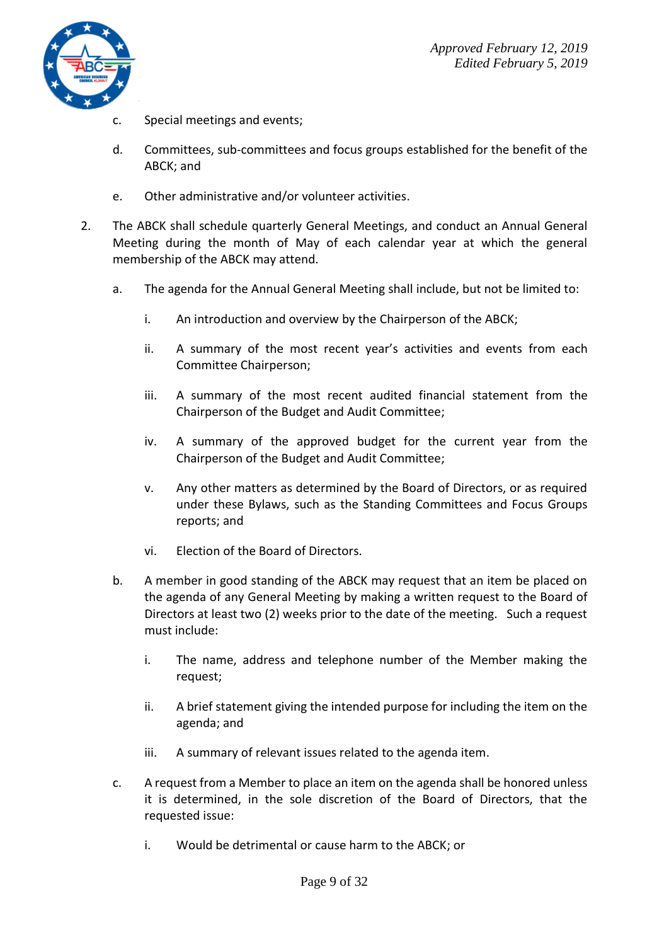

- c. Special meetings and events;
- d. Committees, sub-committees and focus groups established for the benefit of the ABCK; and
- e. Other administrative and/or volunteer activities.
- 2. The ABCK shall schedule quarterly General Meetings, and conduct an Annual General Meeting during the month of May of each calendar year at which the general membership of the ABCK may attend.
	- a. The agenda for the Annual General Meeting shall include, but not be limited to:
		- i. An introduction and overview by the Chairperson of the ABCK;
		- ii. A summary of the most recent year's activities and events from each Committee Chairperson;
		- iii. A summary of the most recent audited financial statement from the Chairperson of the Budget and Audit Committee;
		- iv. A summary of the approved budget for the current year from the Chairperson of the Budget and Audit Committee;
		- v. Any other matters as determined by the Board of Directors, or as required under these Bylaws, such as the Standing Committees and Focus Groups reports; and
		- vi. Election of the Board of Directors.
	- b. A member in good standing of the ABCK may request that an item be placed on the agenda of any General Meeting by making a written request to the Board of Directors at least two (2) weeks prior to the date of the meeting. Such a request must include:
		- i. The name, address and telephone number of the Member making the request;
		- ii. A brief statement giving the intended purpose for including the item on the agenda; and
		- iii. A summary of relevant issues related to the agenda item.
	- c. A request from a Member to place an item on the agenda shall be honored unless it is determined, in the sole discretion of the Board of Directors, that the requested issue:
		- i. Would be detrimental or cause harm to the ABCK; or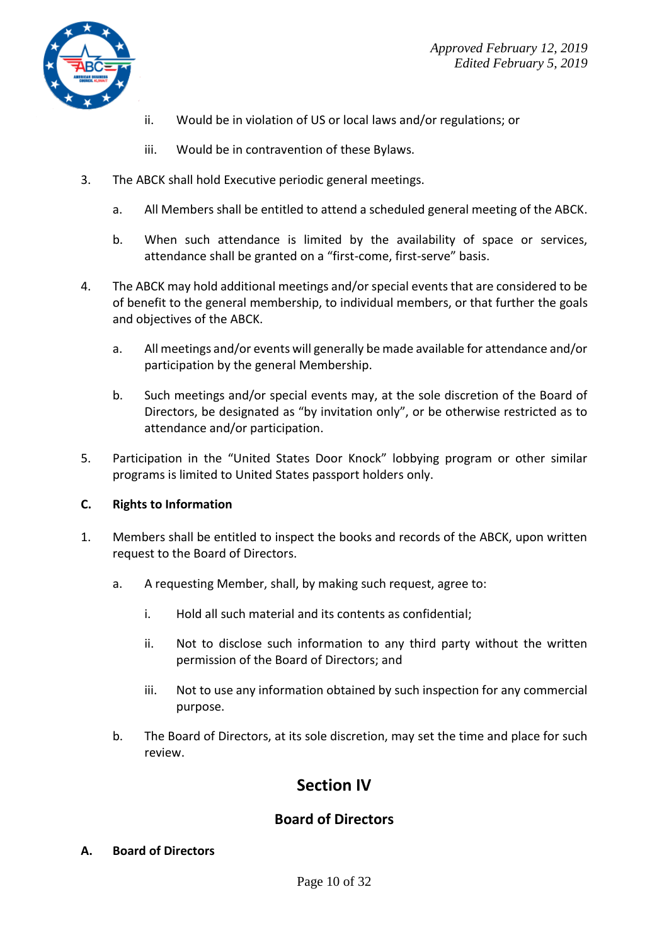

- ii. Would be in violation of US or local laws and/or regulations; or
- iii. Would be in contravention of these Bylaws.
- 3. The ABCK shall hold Executive periodic general meetings.
	- a. All Members shall be entitled to attend a scheduled general meeting of the ABCK.
	- b. When such attendance is limited by the availability of space or services, attendance shall be granted on a "first-come, first-serve" basis.
- 4. The ABCK may hold additional meetings and/or special events that are considered to be of benefit to the general membership, to individual members, or that further the goals and objectives of the ABCK.
	- a. All meetings and/or events will generally be made available for attendance and/or participation by the general Membership.
	- b. Such meetings and/or special events may, at the sole discretion of the Board of Directors, be designated as "by invitation only", or be otherwise restricted as to attendance and/or participation.
- 5. Participation in the "United States Door Knock" lobbying program or other similar programs is limited to United States passport holders only.

#### **C. Rights to Information**

- 1. Members shall be entitled to inspect the books and records of the ABCK, upon written request to the Board of Directors.
	- a. A requesting Member, shall, by making such request, agree to:
		- i. Hold all such material and its contents as confidential;
		- ii. Not to disclose such information to any third party without the written permission of the Board of Directors; and
		- iii. Not to use any information obtained by such inspection for any commercial purpose.
	- b. The Board of Directors, at its sole discretion, may set the time and place for such review.

## **Section IV**

### **Board of Directors**

#### **A. Board of Directors**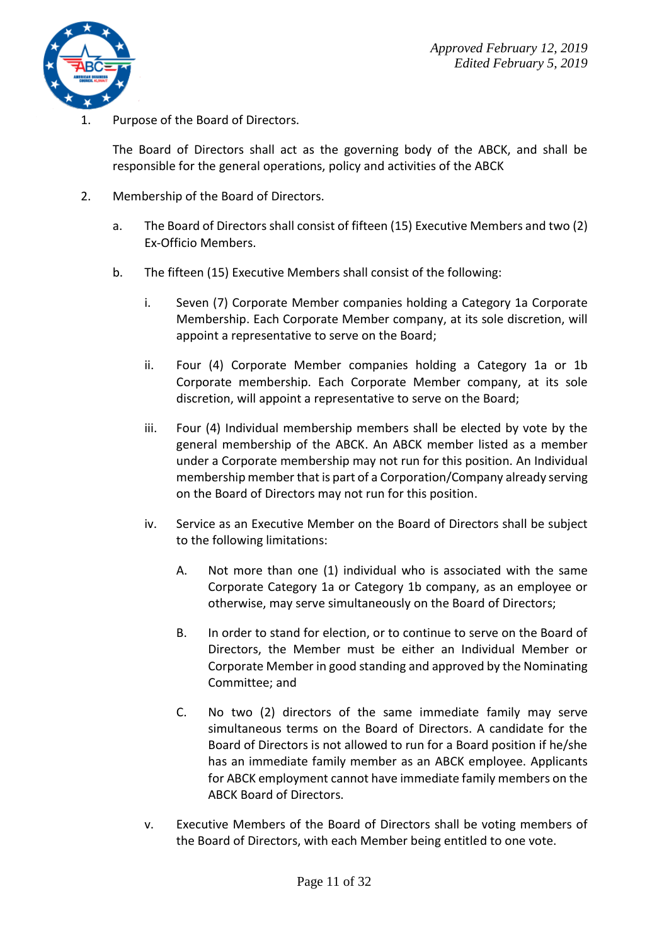

Purpose of the Board of Directors.

The Board of Directors shall act as the governing body of the ABCK, and shall be responsible for the general operations, policy and activities of the ABCK

- 2. Membership of the Board of Directors.
	- a. The Board of Directors shall consist of fifteen (15) Executive Members and two (2) Ex-Officio Members.
	- b. The fifteen (15) Executive Members shall consist of the following:
		- i. Seven (7) Corporate Member companies holding a Category 1a Corporate Membership. Each Corporate Member company, at its sole discretion, will appoint a representative to serve on the Board;
		- ii. Four (4) Corporate Member companies holding a Category 1a or 1b Corporate membership. Each Corporate Member company, at its sole discretion, will appoint a representative to serve on the Board;
		- iii. Four (4) Individual membership members shall be elected by vote by the general membership of the ABCK. An ABCK member listed as a member under a Corporate membership may not run for this position. An Individual membership member that is part of a Corporation/Company already serving on the Board of Directors may not run for this position.
		- iv. Service as an Executive Member on the Board of Directors shall be subject to the following limitations:
			- A. Not more than one (1) individual who is associated with the same Corporate Category 1a or Category 1b company, as an employee or otherwise, may serve simultaneously on the Board of Directors;
			- B. In order to stand for election, or to continue to serve on the Board of Directors, the Member must be either an Individual Member or Corporate Member in good standing and approved by the Nominating Committee; and
			- C. No two (2) directors of the same immediate family may serve simultaneous terms on the Board of Directors. A candidate for the Board of Directors is not allowed to run for a Board position if he/she has an immediate family member as an ABCK employee. Applicants for ABCK employment cannot have immediate family members on the ABCK Board of Directors.
		- v. Executive Members of the Board of Directors shall be voting members of the Board of Directors, with each Member being entitled to one vote.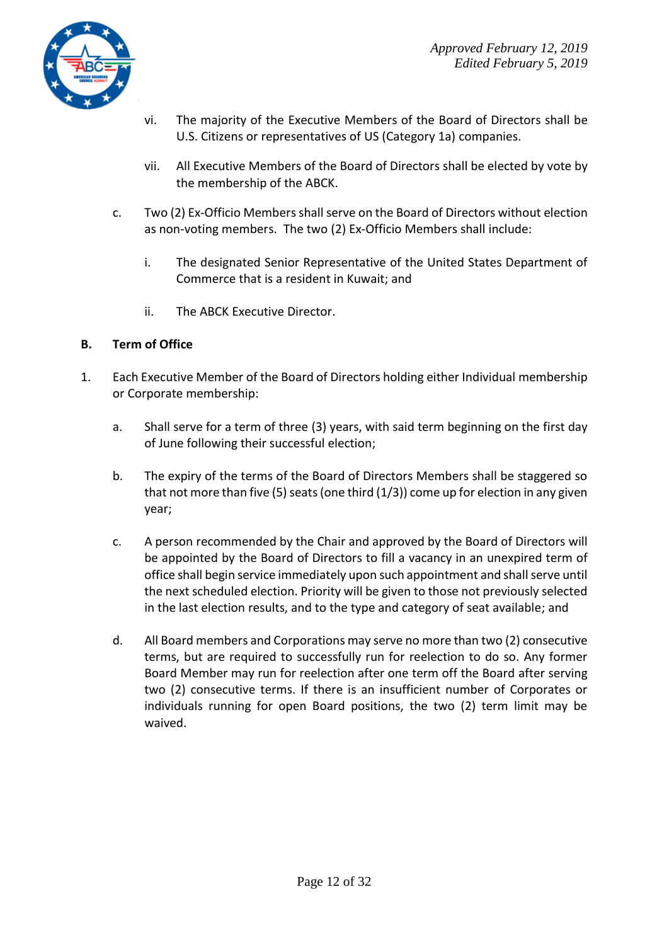

- vi. The majority of the Executive Members of the Board of Directors shall be U.S. Citizens or representatives of US (Category 1a) companies.
- vii. All Executive Members of the Board of Directors shall be elected by vote by the membership of the ABCK.
- c. Two (2) Ex-Officio Membersshall serve on the Board of Directors without election as non-voting members. The two (2) Ex-Officio Members shall include:
	- i. The designated Senior Representative of the United States Department of Commerce that is a resident in Kuwait; and
	- ii. The ABCK Executive Director.

#### **B. Term of Office**

- 1. Each Executive Member of the Board of Directors holding either Individual membership or Corporate membership:
	- a. Shall serve for a term of three (3) years, with said term beginning on the first day of June following their successful election;
	- b. The expiry of the terms of the Board of Directors Members shall be staggered so that not more than five (5) seats (one third  $(1/3)$ ) come up for election in any given year;
	- c. A person recommended by the Chair and approved by the Board of Directors will be appointed by the Board of Directors to fill a vacancy in an unexpired term of office shall begin service immediately upon such appointment and shall serve until the next scheduled election. Priority will be given to those not previously selected in the last election results, and to the type and category of seat available; and
	- d. All Board members and Corporations may serve no more than two (2) consecutive terms, but are required to successfully run for reelection to do so. Any former Board Member may run for reelection after one term off the Board after serving two (2) consecutive terms. If there is an insufficient number of Corporates or individuals running for open Board positions, the two (2) term limit may be waived.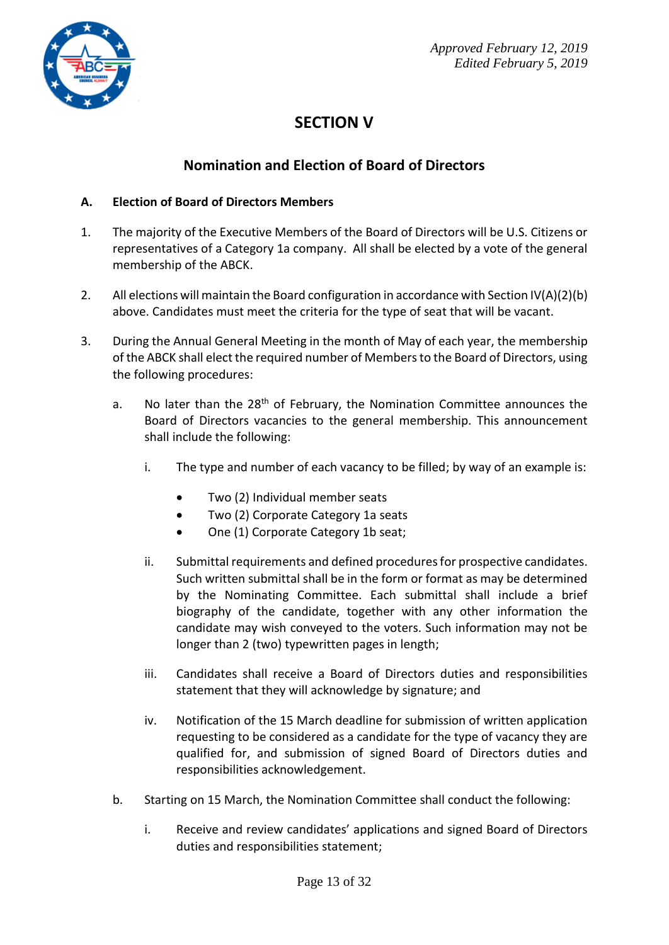

## **SECTION V**

## **Nomination and Election of Board of Directors**

#### **A. Election of Board of Directors Members**

- 1. The majority of the Executive Members of the Board of Directors will be U.S. Citizens or representatives of a Category 1a company. All shall be elected by a vote of the general membership of the ABCK.
- 2. All elections will maintain the Board configuration in accordance with Section IV(A)(2)(b) above. Candidates must meet the criteria for the type of seat that will be vacant.
- 3. During the Annual General Meeting in the month of May of each year, the membership of the ABCK shall elect the required number of Members to the Board of Directors, using the following procedures:
	- a. No later than the 28<sup>th</sup> of February, the Nomination Committee announces the Board of Directors vacancies to the general membership. This announcement shall include the following:
		- i. The type and number of each vacancy to be filled; by way of an example is:
			- Two (2) Individual member seats
			- Two (2) Corporate Category 1a seats
			- One (1) Corporate Category 1b seat;
		- ii. Submittal requirements and defined procedures for prospective candidates. Such written submittal shall be in the form or format as may be determined by the Nominating Committee. Each submittal shall include a brief biography of the candidate, together with any other information the candidate may wish conveyed to the voters. Such information may not be longer than 2 (two) typewritten pages in length;
		- iii. Candidates shall receive a Board of Directors duties and responsibilities statement that they will acknowledge by signature; and
		- iv. Notification of the 15 March deadline for submission of written application requesting to be considered as a candidate for the type of vacancy they are qualified for, and submission of signed Board of Directors duties and responsibilities acknowledgement.
	- b. Starting on 15 March, the Nomination Committee shall conduct the following:
		- i. Receive and review candidates' applications and signed Board of Directors duties and responsibilities statement;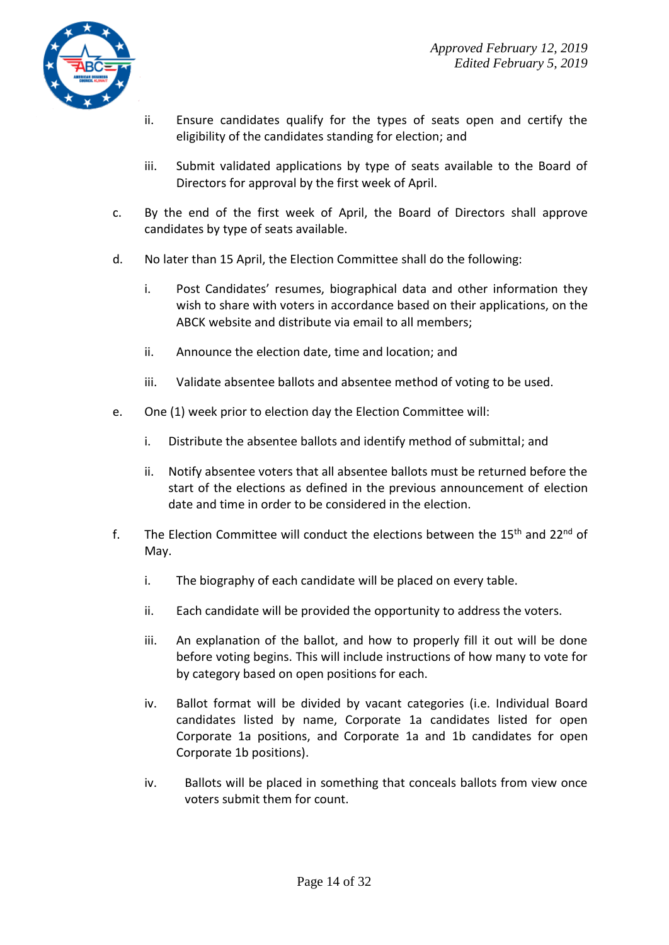

- ii. Ensure candidates qualify for the types of seats open and certify the eligibility of the candidates standing for election; and
- iii. Submit validated applications by type of seats available to the Board of Directors for approval by the first week of April.
- c. By the end of the first week of April, the Board of Directors shall approve candidates by type of seats available.
- d. No later than 15 April, the Election Committee shall do the following:
	- i. Post Candidates' resumes, biographical data and other information they wish to share with voters in accordance based on their applications, on the ABCK website and distribute via email to all members;
	- ii. Announce the election date, time and location; and
	- iii. Validate absentee ballots and absentee method of voting to be used.
- e. One (1) week prior to election day the Election Committee will:
	- i. Distribute the absentee ballots and identify method of submittal; and
	- ii. Notify absentee voters that all absentee ballots must be returned before the start of the elections as defined in the previous announcement of election date and time in order to be considered in the election.
- f. The Election Committee will conduct the elections between the  $15<sup>th</sup>$  and  $22<sup>nd</sup>$  of May.
	- i. The biography of each candidate will be placed on every table.
	- ii. Each candidate will be provided the opportunity to address the voters.
	- iii. An explanation of the ballot, and how to properly fill it out will be done before voting begins. This will include instructions of how many to vote for by category based on open positions for each.
	- iv. Ballot format will be divided by vacant categories (i.e. Individual Board candidates listed by name, Corporate 1a candidates listed for open Corporate 1a positions, and Corporate 1a and 1b candidates for open Corporate 1b positions).
	- iv. Ballots will be placed in something that conceals ballots from view once voters submit them for count.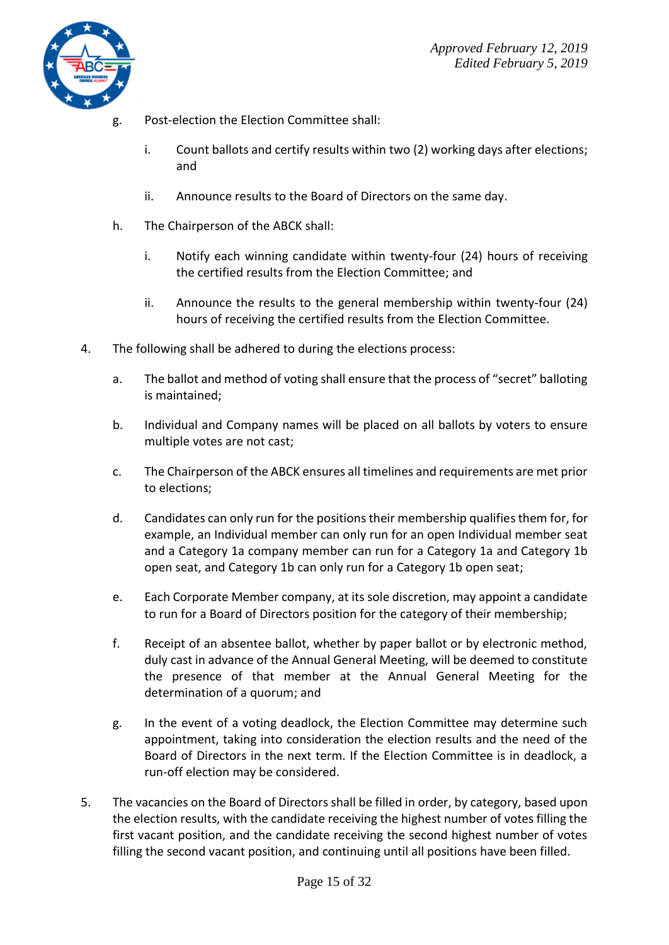

- g. Post-election the Election Committee shall:
	- i. Count ballots and certify results within two (2) working days after elections; and
	- ii. Announce results to the Board of Directors on the same day.
- h. The Chairperson of the ABCK shall:
	- i. Notify each winning candidate within twenty-four (24) hours of receiving the certified results from the Election Committee; and
	- ii. Announce the results to the general membership within twenty-four (24) hours of receiving the certified results from the Election Committee.
- 4. The following shall be adhered to during the elections process:
	- a. The ballot and method of voting shall ensure that the process of "secret" balloting is maintained;
	- b. Individual and Company names will be placed on all ballots by voters to ensure multiple votes are not cast;
	- c. The Chairperson of the ABCK ensures all timelines and requirements are met prior to elections;
	- d. Candidates can only run for the positions their membership qualifies them for, for example, an Individual member can only run for an open Individual member seat and a Category 1a company member can run for a Category 1a and Category 1b open seat, and Category 1b can only run for a Category 1b open seat;
	- e. Each Corporate Member company, at its sole discretion, may appoint a candidate to run for a Board of Directors position for the category of their membership;
	- f. Receipt of an absentee ballot, whether by paper ballot or by electronic method, duly cast in advance of the Annual General Meeting, will be deemed to constitute the presence of that member at the Annual General Meeting for the determination of a quorum; and
	- g. In the event of a voting deadlock, the Election Committee may determine such appointment, taking into consideration the election results and the need of the Board of Directors in the next term. If the Election Committee is in deadlock, a run-off election may be considered.
- 5. The vacancies on the Board of Directors shall be filled in order, by category, based upon the election results, with the candidate receiving the highest number of votes filling the first vacant position, and the candidate receiving the second highest number of votes filling the second vacant position, and continuing until all positions have been filled.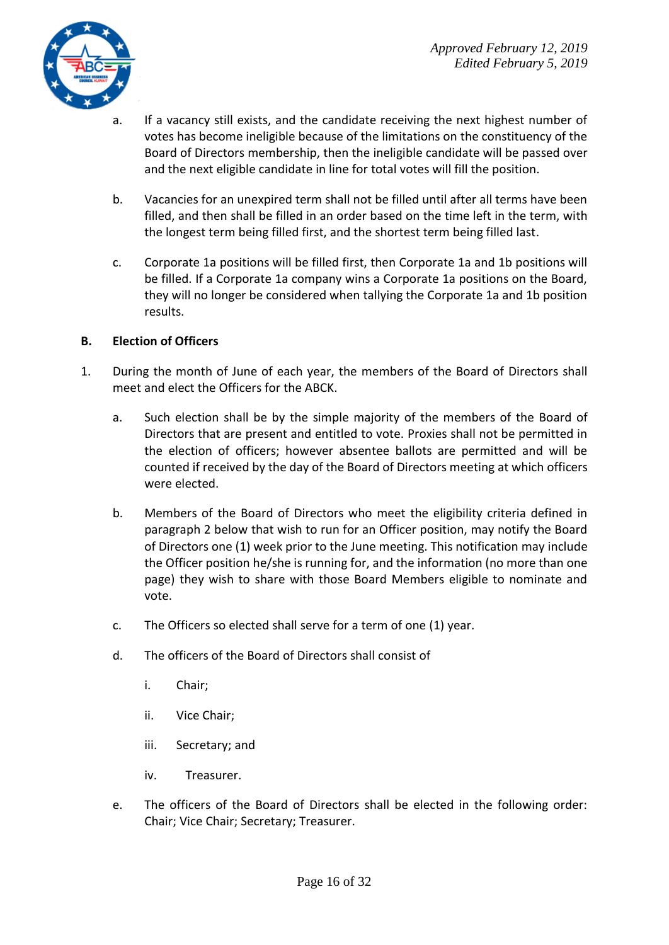

- a. If a vacancy still exists, and the candidate receiving the next highest number of votes has become ineligible because of the limitations on the constituency of the Board of Directors membership, then the ineligible candidate will be passed over and the next eligible candidate in line for total votes will fill the position.
- b. Vacancies for an unexpired term shall not be filled until after all terms have been filled, and then shall be filled in an order based on the time left in the term, with the longest term being filled first, and the shortest term being filled last.
- c. Corporate 1a positions will be filled first, then Corporate 1a and 1b positions will be filled. If a Corporate 1a company wins a Corporate 1a positions on the Board, they will no longer be considered when tallying the Corporate 1a and 1b position results.

#### **B. Election of Officers**

- 1. During the month of June of each year, the members of the Board of Directors shall meet and elect the Officers for the ABCK.
	- a. Such election shall be by the simple majority of the members of the Board of Directors that are present and entitled to vote. Proxies shall not be permitted in the election of officers; however absentee ballots are permitted and will be counted if received by the day of the Board of Directors meeting at which officers were elected.
	- b. Members of the Board of Directors who meet the eligibility criteria defined in paragraph 2 below that wish to run for an Officer position, may notify the Board of Directors one (1) week prior to the June meeting. This notification may include the Officer position he/she is running for, and the information (no more than one page) they wish to share with those Board Members eligible to nominate and vote.
	- c. The Officers so elected shall serve for a term of one (1) year.
	- d. The officers of the Board of Directors shall consist of
		- i. Chair;
		- ii. Vice Chair;
		- iii. Secretary; and
		- iv. Treasurer.
	- e. The officers of the Board of Directors shall be elected in the following order: Chair; Vice Chair; Secretary; Treasurer.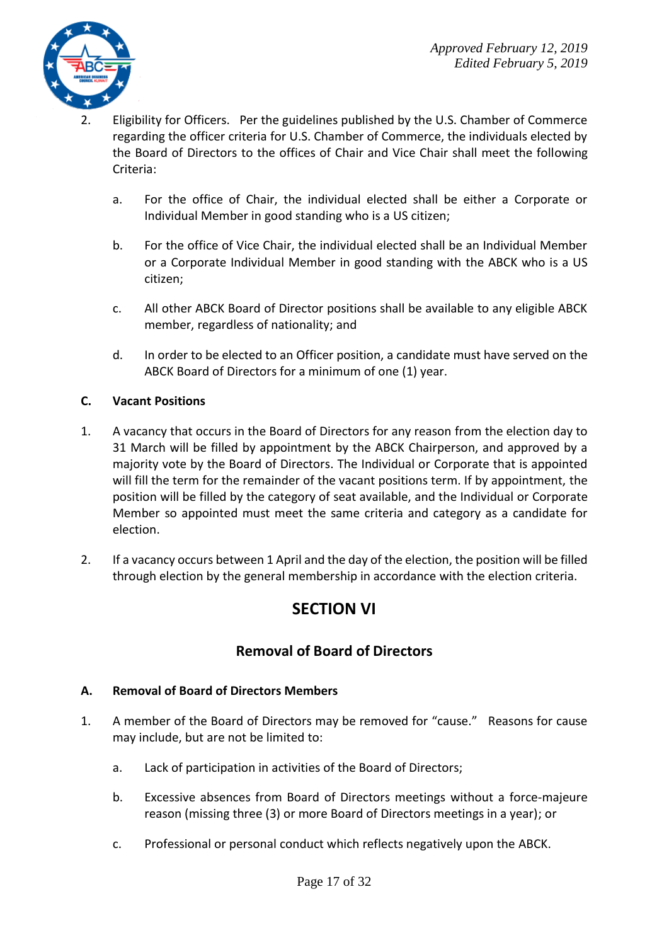

- 2. Eligibility for Officers. Per the guidelines published by the U.S. Chamber of Commerce regarding the officer criteria for U.S. Chamber of Commerce, the individuals elected by the Board of Directors to the offices of Chair and Vice Chair shall meet the following Criteria:
	- a. For the office of Chair, the individual elected shall be either a Corporate or Individual Member in good standing who is a US citizen;
	- b. For the office of Vice Chair, the individual elected shall be an Individual Member or a Corporate Individual Member in good standing with the ABCK who is a US citizen;
	- c. All other ABCK Board of Director positions shall be available to any eligible ABCK member, regardless of nationality; and
	- d. In order to be elected to an Officer position, a candidate must have served on the ABCK Board of Directors for a minimum of one (1) year.

#### **C. Vacant Positions**

- 1. A vacancy that occurs in the Board of Directors for any reason from the election day to 31 March will be filled by appointment by the ABCK Chairperson, and approved by a majority vote by the Board of Directors. The Individual or Corporate that is appointed will fill the term for the remainder of the vacant positions term. If by appointment, the position will be filled by the category of seat available, and the Individual or Corporate Member so appointed must meet the same criteria and category as a candidate for election.
- 2. If a vacancy occurs between 1 April and the day of the election, the position will be filled through election by the general membership in accordance with the election criteria.

## **SECTION VI**

### **Removal of Board of Directors**

#### **A. Removal of Board of Directors Members**

- 1. A member of the Board of Directors may be removed for "cause." Reasons for cause may include, but are not be limited to:
	- a. Lack of participation in activities of the Board of Directors;
	- b. Excessive absences from Board of Directors meetings without a force-majeure reason (missing three (3) or more Board of Directors meetings in a year); or
	- c. Professional or personal conduct which reflects negatively upon the ABCK.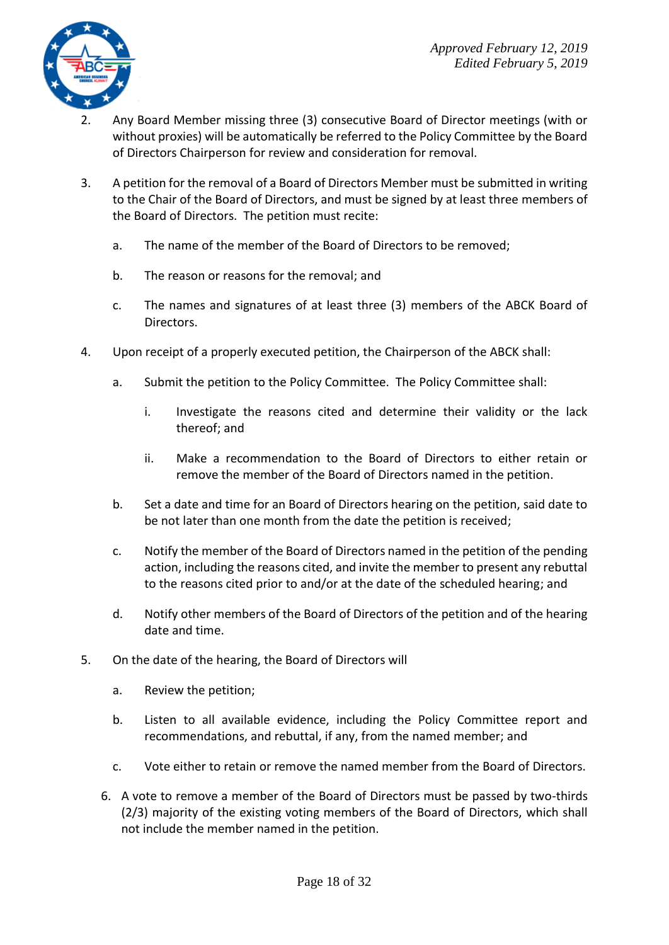

- 2. Any Board Member missing three (3) consecutive Board of Director meetings (with or without proxies) will be automatically be referred to the Policy Committee by the Board of Directors Chairperson for review and consideration for removal.
- 3. A petition for the removal of a Board of Directors Member must be submitted in writing to the Chair of the Board of Directors, and must be signed by at least three members of the Board of Directors. The petition must recite:
	- a. The name of the member of the Board of Directors to be removed;
	- b. The reason or reasons for the removal; and
	- c. The names and signatures of at least three (3) members of the ABCK Board of Directors.
- 4. Upon receipt of a properly executed petition, the Chairperson of the ABCK shall:
	- a. Submit the petition to the Policy Committee. The Policy Committee shall:
		- i. Investigate the reasons cited and determine their validity or the lack thereof; and
		- ii. Make a recommendation to the Board of Directors to either retain or remove the member of the Board of Directors named in the petition.
	- b. Set a date and time for an Board of Directors hearing on the petition, said date to be not later than one month from the date the petition is received;
	- c. Notify the member of the Board of Directors named in the petition of the pending action, including the reasons cited, and invite the member to present any rebuttal to the reasons cited prior to and/or at the date of the scheduled hearing; and
	- d. Notify other members of the Board of Directors of the petition and of the hearing date and time.
- 5. On the date of the hearing, the Board of Directors will
	- a. Review the petition;
	- b. Listen to all available evidence, including the Policy Committee report and recommendations, and rebuttal, if any, from the named member; and
	- c. Vote either to retain or remove the named member from the Board of Directors.
	- 6. A vote to remove a member of the Board of Directors must be passed by two-thirds (2/3) majority of the existing voting members of the Board of Directors, which shall not include the member named in the petition.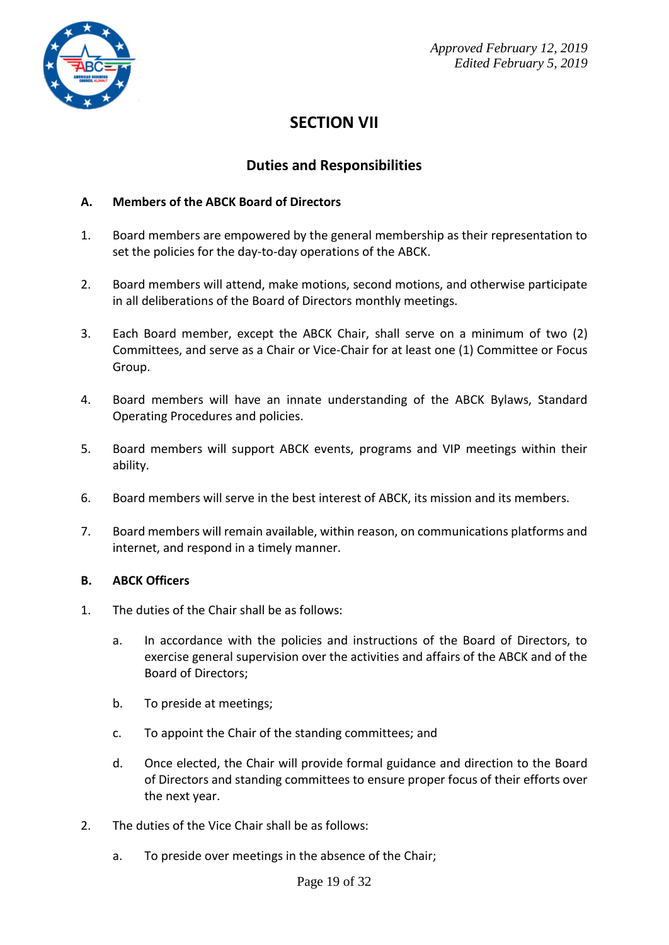

## **SECTION VII**

### **Duties and Responsibilities**

#### **A. Members of the ABCK Board of Directors**

- 1. Board members are empowered by the general membership as their representation to set the policies for the day-to-day operations of the ABCK.
- 2. Board members will attend, make motions, second motions, and otherwise participate in all deliberations of the Board of Directors monthly meetings.
- 3. Each Board member, except the ABCK Chair, shall serve on a minimum of two (2) Committees, and serve as a Chair or Vice-Chair for at least one (1) Committee or Focus Group.
- 4. Board members will have an innate understanding of the ABCK Bylaws, Standard Operating Procedures and policies.
- 5. Board members will support ABCK events, programs and VIP meetings within their ability.
- 6. Board members will serve in the best interest of ABCK, its mission and its members.
- 7. Board members will remain available, within reason, on communications platforms and internet, and respond in a timely manner.

#### **B. ABCK Officers**

- 1. The duties of the Chair shall be as follows:
	- a. In accordance with the policies and instructions of the Board of Directors, to exercise general supervision over the activities and affairs of the ABCK and of the Board of Directors;
	- b. To preside at meetings;
	- c. To appoint the Chair of the standing committees; and
	- d. Once elected, the Chair will provide formal guidance and direction to the Board of Directors and standing committees to ensure proper focus of their efforts over the next year.
- 2. The duties of the Vice Chair shall be as follows:
	- a. To preside over meetings in the absence of the Chair;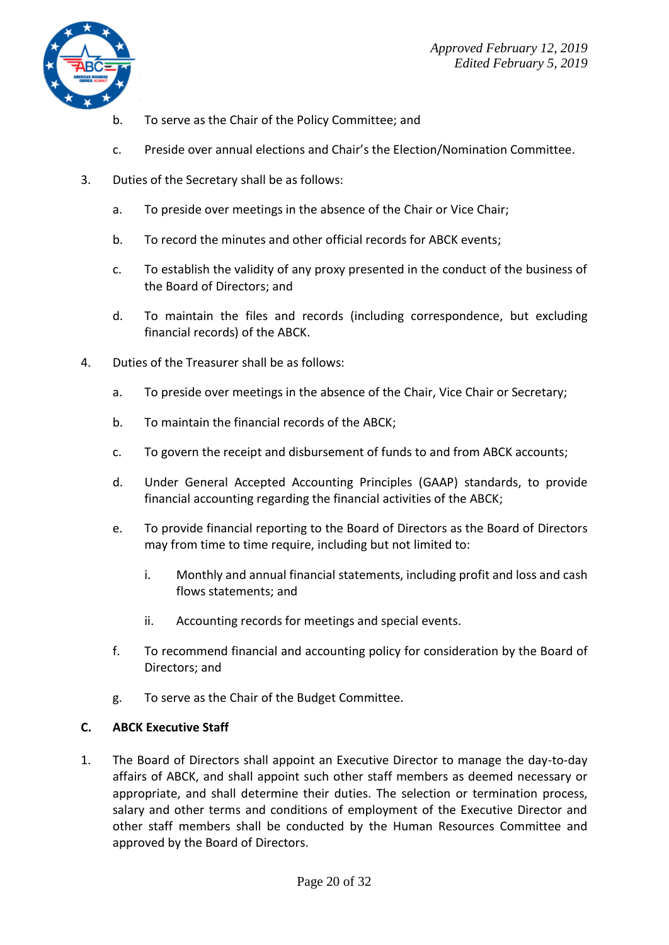

- b. To serve as the Chair of the Policy Committee; and
- c. Preside over annual elections and Chair's the Election/Nomination Committee.
- 3. Duties of the Secretary shall be as follows:
	- a. To preside over meetings in the absence of the Chair or Vice Chair;
	- b. To record the minutes and other official records for ABCK events;
	- c. To establish the validity of any proxy presented in the conduct of the business of the Board of Directors; and
	- d. To maintain the files and records (including correspondence, but excluding financial records) of the ABCK.
- 4. Duties of the Treasurer shall be as follows:
	- a. To preside over meetings in the absence of the Chair, Vice Chair or Secretary;
	- b. To maintain the financial records of the ABCK;
	- c. To govern the receipt and disbursement of funds to and from ABCK accounts;
	- d. Under General Accepted Accounting Principles (GAAP) standards, to provide financial accounting regarding the financial activities of the ABCK;
	- e. To provide financial reporting to the Board of Directors as the Board of Directors may from time to time require, including but not limited to:
		- i. Monthly and annual financial statements, including profit and loss and cash flows statements; and
		- ii. Accounting records for meetings and special events.
	- f. To recommend financial and accounting policy for consideration by the Board of Directors; and
	- g. To serve as the Chair of the Budget Committee.

#### **C. ABCK Executive Staff**

1. The Board of Directors shall appoint an Executive Director to manage the day-to-day affairs of ABCK, and shall appoint such other staff members as deemed necessary or appropriate, and shall determine their duties. The selection or termination process, salary and other terms and conditions of employment of the Executive Director and other staff members shall be conducted by the Human Resources Committee and approved by the Board of Directors.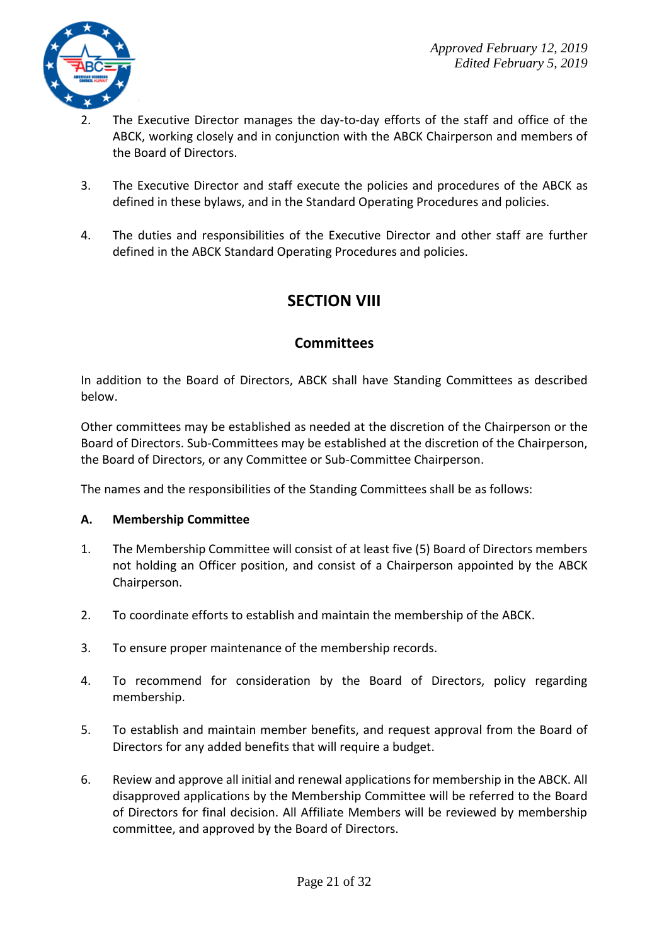

- 2. The Executive Director manages the day-to-day efforts of the staff and office of the ABCK, working closely and in conjunction with the ABCK Chairperson and members of the Board of Directors.
- 3. The Executive Director and staff execute the policies and procedures of the ABCK as defined in these bylaws, and in the Standard Operating Procedures and policies.
- 4. The duties and responsibilities of the Executive Director and other staff are further defined in the ABCK Standard Operating Procedures and policies.

## **SECTION VIII**

### **Committees**

In addition to the Board of Directors, ABCK shall have Standing Committees as described below.

Other committees may be established as needed at the discretion of the Chairperson or the Board of Directors. Sub-Committees may be established at the discretion of the Chairperson, the Board of Directors, or any Committee or Sub-Committee Chairperson.

The names and the responsibilities of the Standing Committees shall be as follows:

#### **A. Membership Committee**

- 1. The Membership Committee will consist of at least five (5) Board of Directors members not holding an Officer position, and consist of a Chairperson appointed by the ABCK Chairperson.
- 2. To coordinate efforts to establish and maintain the membership of the ABCK.
- 3. To ensure proper maintenance of the membership records.
- 4. To recommend for consideration by the Board of Directors, policy regarding membership.
- 5. To establish and maintain member benefits, and request approval from the Board of Directors for any added benefits that will require a budget.
- 6. Review and approve all initial and renewal applications for membership in the ABCK. All disapproved applications by the Membership Committee will be referred to the Board of Directors for final decision. All Affiliate Members will be reviewed by membership committee, and approved by the Board of Directors.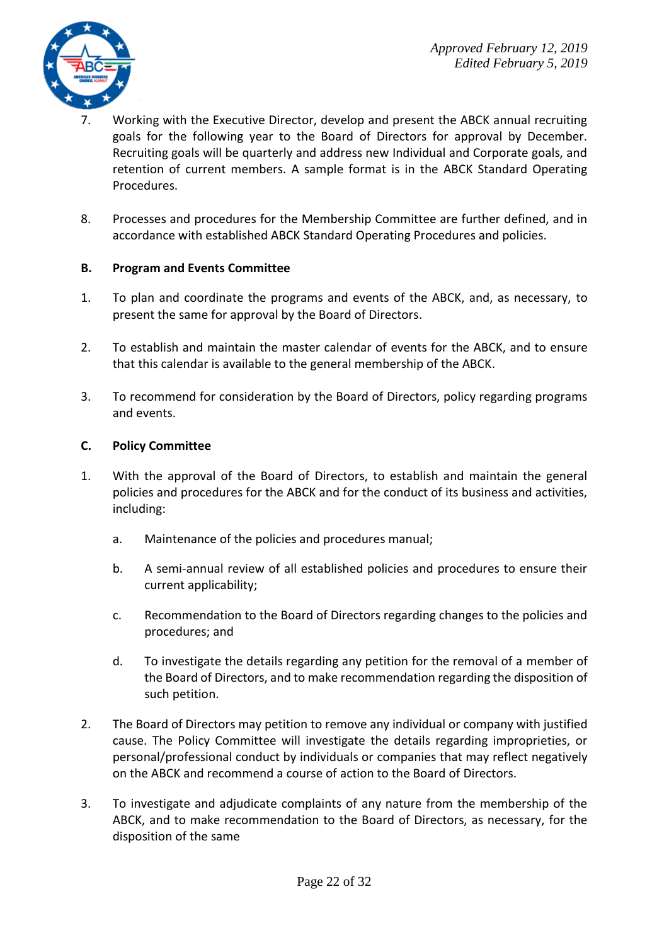

- 7. Working with the Executive Director, develop and present the ABCK annual recruiting goals for the following year to the Board of Directors for approval by December. Recruiting goals will be quarterly and address new Individual and Corporate goals, and retention of current members. A sample format is in the ABCK Standard Operating Procedures.
- 8. Processes and procedures for the Membership Committee are further defined, and in accordance with established ABCK Standard Operating Procedures and policies.

#### **B. Program and Events Committee**

- 1. To plan and coordinate the programs and events of the ABCK, and, as necessary, to present the same for approval by the Board of Directors.
- 2. To establish and maintain the master calendar of events for the ABCK, and to ensure that this calendar is available to the general membership of the ABCK.
- 3. To recommend for consideration by the Board of Directors, policy regarding programs and events.

#### **C. Policy Committee**

- 1. With the approval of the Board of Directors, to establish and maintain the general policies and procedures for the ABCK and for the conduct of its business and activities, including:
	- a. Maintenance of the policies and procedures manual;
	- b. A semi-annual review of all established policies and procedures to ensure their current applicability;
	- c. Recommendation to the Board of Directors regarding changes to the policies and procedures; and
	- d. To investigate the details regarding any petition for the removal of a member of the Board of Directors, and to make recommendation regarding the disposition of such petition.
- 2. The Board of Directors may petition to remove any individual or company with justified cause. The Policy Committee will investigate the details regarding improprieties, or personal/professional conduct by individuals or companies that may reflect negatively on the ABCK and recommend a course of action to the Board of Directors.
- 3. To investigate and adjudicate complaints of any nature from the membership of the ABCK, and to make recommendation to the Board of Directors, as necessary, for the disposition of the same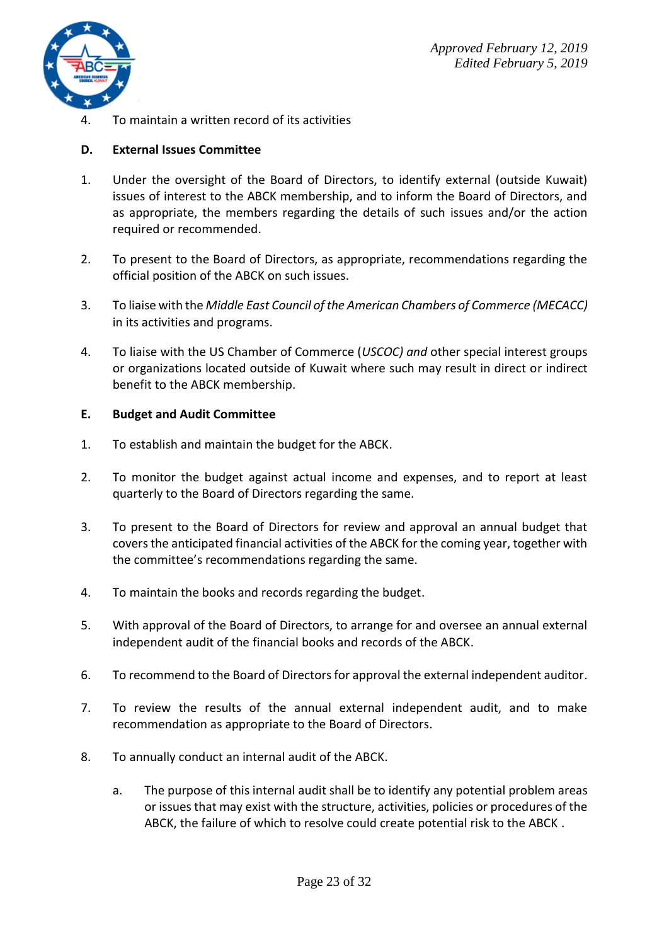

4. To maintain a written record of its activities

#### **D. External Issues Committee**

- 1. Under the oversight of the Board of Directors, to identify external (outside Kuwait) issues of interest to the ABCK membership, and to inform the Board of Directors, and as appropriate, the members regarding the details of such issues and/or the action required or recommended.
- 2. To present to the Board of Directors, as appropriate, recommendations regarding the official position of the ABCK on such issues.
- 3. To liaise with the *Middle East Council of the American Chambers of Commerce (MECACC)* in its activities and programs.
- 4. To liaise with the US Chamber of Commerce (*USCOC) and* other special interest groups or organizations located outside of Kuwait where such may result in direct or indirect benefit to the ABCK membership.

#### **E. Budget and Audit Committee**

- 1. To establish and maintain the budget for the ABCK.
- 2. To monitor the budget against actual income and expenses, and to report at least quarterly to the Board of Directors regarding the same.
- 3. To present to the Board of Directors for review and approval an annual budget that covers the anticipated financial activities of the ABCK for the coming year, together with the committee's recommendations regarding the same.
- 4. To maintain the books and records regarding the budget.
- 5. With approval of the Board of Directors, to arrange for and oversee an annual external independent audit of the financial books and records of the ABCK.
- 6. To recommend to the Board of Directors for approval the external independent auditor.
- 7. To review the results of the annual external independent audit, and to make recommendation as appropriate to the Board of Directors.
- 8. To annually conduct an internal audit of the ABCK.
	- a. The purpose of this internal audit shall be to identify any potential problem areas or issues that may exist with the structure, activities, policies or procedures of the ABCK, the failure of which to resolve could create potential risk to the ABCK .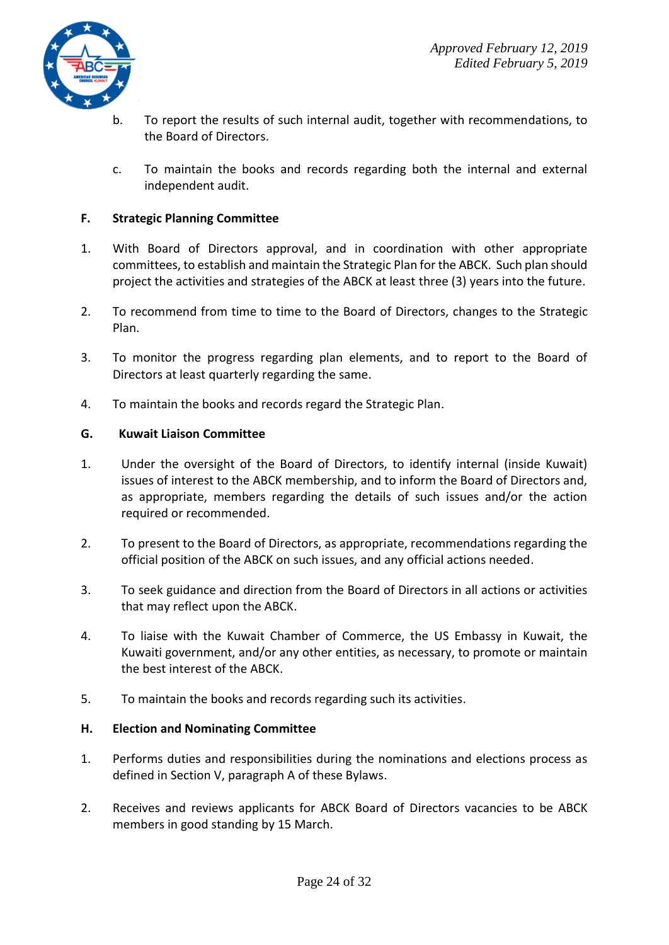

- b. To report the results of such internal audit, together with recommendations, to the Board of Directors.
- c. To maintain the books and records regarding both the internal and external independent audit.

#### **F. Strategic Planning Committee**

- 1. With Board of Directors approval, and in coordination with other appropriate committees, to establish and maintain the Strategic Plan for the ABCK. Such plan should project the activities and strategies of the ABCK at least three (3) years into the future.
- 2. To recommend from time to time to the Board of Directors, changes to the Strategic Plan.
- 3. To monitor the progress regarding plan elements, and to report to the Board of Directors at least quarterly regarding the same.
- 4. To maintain the books and records regard the Strategic Plan.

#### **G. Kuwait Liaison Committee**

- 1. Under the oversight of the Board of Directors, to identify internal (inside Kuwait) issues of interest to the ABCK membership, and to inform the Board of Directors and, as appropriate, members regarding the details of such issues and/or the action required or recommended.
- 2. To present to the Board of Directors, as appropriate, recommendations regarding the official position of the ABCK on such issues, and any official actions needed.
- 3. To seek guidance and direction from the Board of Directors in all actions or activities that may reflect upon the ABCK.
- 4. To liaise with the Kuwait Chamber of Commerce, the US Embassy in Kuwait, the Kuwaiti government, and/or any other entities, as necessary, to promote or maintain the best interest of the ABCK.
- 5. To maintain the books and records regarding such its activities.

#### **H. Election and Nominating Committee**

- 1. Performs duties and responsibilities during the nominations and elections process as defined in Section V, paragraph A of these Bylaws.
- 2. Receives and reviews applicants for ABCK Board of Directors vacancies to be ABCK members in good standing by 15 March.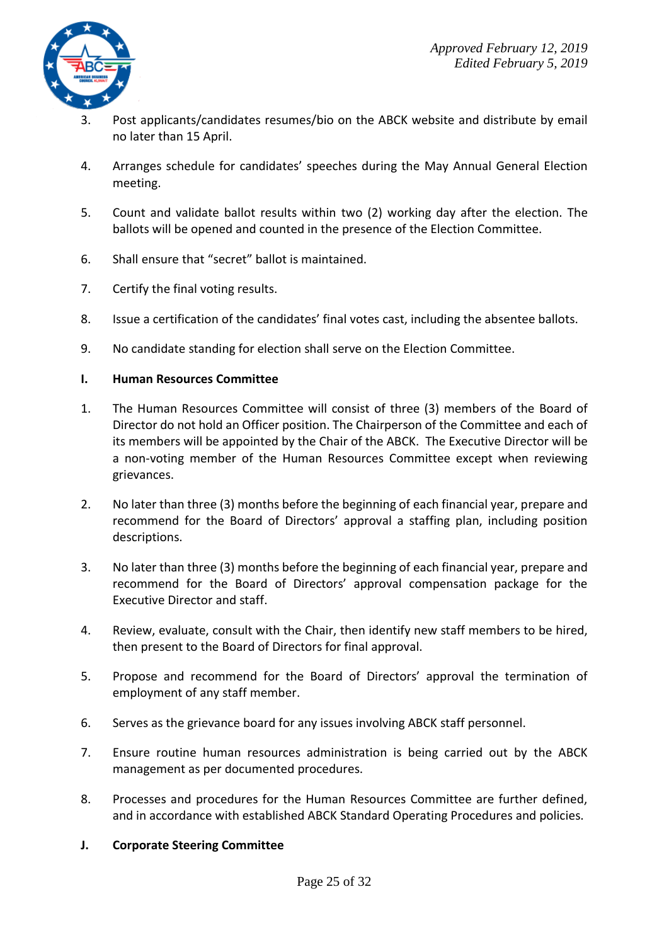

- 3. Post applicants/candidates resumes/bio on the ABCK website and distribute by email no later than 15 April.
- 4. Arranges schedule for candidates' speeches during the May Annual General Election meeting.
- 5. Count and validate ballot results within two (2) working day after the election. The ballots will be opened and counted in the presence of the Election Committee.
- 6. Shall ensure that "secret" ballot is maintained.
- 7. Certify the final voting results.
- 8. Issue a certification of the candidates' final votes cast, including the absentee ballots.
- 9. No candidate standing for election shall serve on the Election Committee.

#### **I. Human Resources Committee**

- 1. The Human Resources Committee will consist of three (3) members of the Board of Director do not hold an Officer position. The Chairperson of the Committee and each of its members will be appointed by the Chair of the ABCK. The Executive Director will be a non-voting member of the Human Resources Committee except when reviewing grievances.
- 2. No later than three (3) months before the beginning of each financial year, prepare and recommend for the Board of Directors' approval a staffing plan, including position descriptions.
- 3. No later than three (3) months before the beginning of each financial year, prepare and recommend for the Board of Directors' approval compensation package for the Executive Director and staff.
- 4. Review, evaluate, consult with the Chair, then identify new staff members to be hired, then present to the Board of Directors for final approval.
- 5. Propose and recommend for the Board of Directors' approval the termination of employment of any staff member.
- 6. Serves as the grievance board for any issues involving ABCK staff personnel.
- 7. Ensure routine human resources administration is being carried out by the ABCK management as per documented procedures.
- 8. Processes and procedures for the Human Resources Committee are further defined, and in accordance with established ABCK Standard Operating Procedures and policies.

#### **J. Corporate Steering Committee**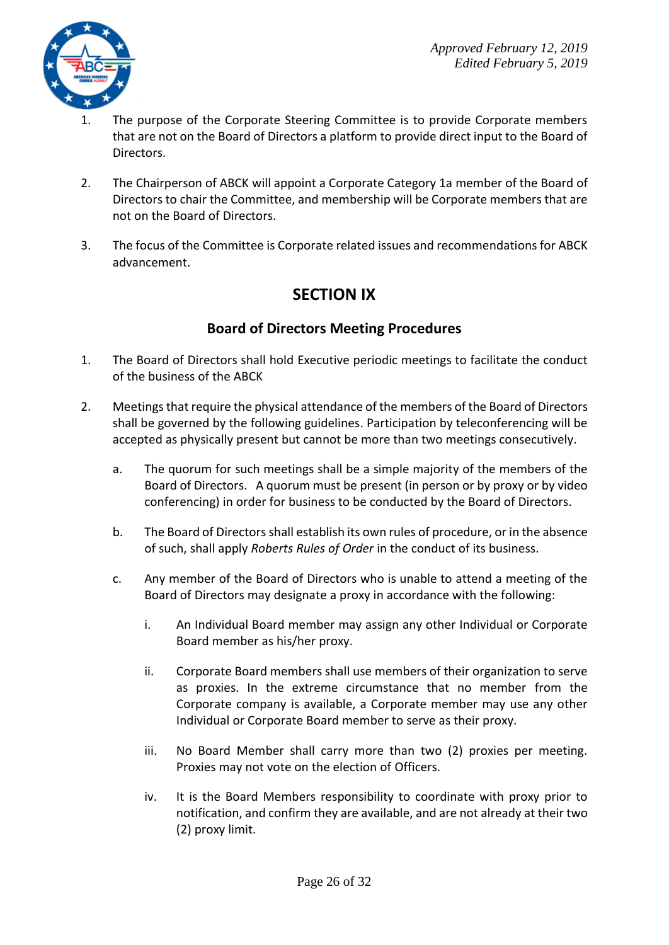

- 1. The purpose of the Corporate Steering Committee is to provide Corporate members that are not on the Board of Directors a platform to provide direct input to the Board of Directors.
- 2. The Chairperson of ABCK will appoint a Corporate Category 1a member of the Board of Directors to chair the Committee, and membership will be Corporate members that are not on the Board of Directors.
- 3. The focus of the Committee is Corporate related issues and recommendations for ABCK advancement.

## **SECTION IX**

## **Board of Directors Meeting Procedures**

- 1. The Board of Directors shall hold Executive periodic meetings to facilitate the conduct of the business of the ABCK
- 2. Meetings that require the physical attendance of the members of the Board of Directors shall be governed by the following guidelines. Participation by teleconferencing will be accepted as physically present but cannot be more than two meetings consecutively.
	- a. The quorum for such meetings shall be a simple majority of the members of the Board of Directors. A quorum must be present (in person or by proxy or by video conferencing) in order for business to be conducted by the Board of Directors.
	- b. The Board of Directors shall establish its own rules of procedure, or in the absence of such, shall apply *Roberts Rules of Order* in the conduct of its business.
	- c. Any member of the Board of Directors who is unable to attend a meeting of the Board of Directors may designate a proxy in accordance with the following:
		- i. An Individual Board member may assign any other Individual or Corporate Board member as his/her proxy.
		- ii. Corporate Board members shall use members of their organization to serve as proxies. In the extreme circumstance that no member from the Corporate company is available, a Corporate member may use any other Individual or Corporate Board member to serve as their proxy.
		- iii. No Board Member shall carry more than two (2) proxies per meeting. Proxies may not vote on the election of Officers.
		- iv. It is the Board Members responsibility to coordinate with proxy prior to notification, and confirm they are available, and are not already at their two (2) proxy limit.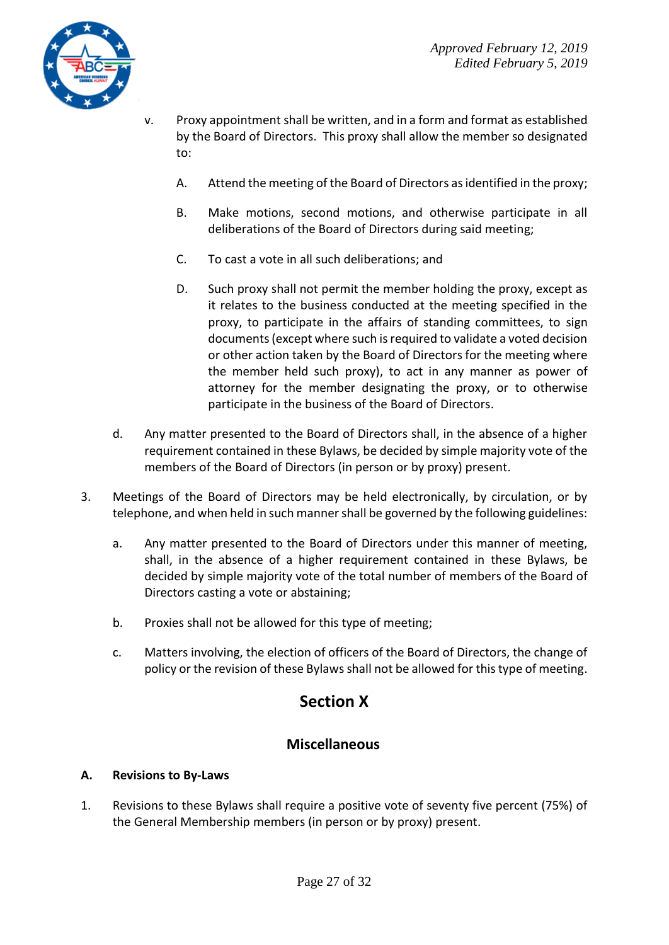

- v. Proxy appointmentshall be written, and in a form and format as established by the Board of Directors. This proxy shall allow the member so designated to:
	- A. Attend the meeting of the Board of Directors as identified in the proxy;
	- B. Make motions, second motions, and otherwise participate in all deliberations of the Board of Directors during said meeting;
	- C. To cast a vote in all such deliberations; and
	- D. Such proxy shall not permit the member holding the proxy, except as it relates to the business conducted at the meeting specified in the proxy, to participate in the affairs of standing committees, to sign documents (except where such is required to validate a voted decision or other action taken by the Board of Directors for the meeting where the member held such proxy), to act in any manner as power of attorney for the member designating the proxy, or to otherwise participate in the business of the Board of Directors.
- d. Any matter presented to the Board of Directors shall, in the absence of a higher requirement contained in these Bylaws, be decided by simple majority vote of the members of the Board of Directors (in person or by proxy) present.
- 3. Meetings of the Board of Directors may be held electronically, by circulation, or by telephone, and when held in such manner shall be governed by the following guidelines:
	- a. Any matter presented to the Board of Directors under this manner of meeting, shall, in the absence of a higher requirement contained in these Bylaws, be decided by simple majority vote of the total number of members of the Board of Directors casting a vote or abstaining;
	- b. Proxies shall not be allowed for this type of meeting;
	- c. Matters involving, the election of officers of the Board of Directors, the change of policy or the revision of these Bylaws shall not be allowed for this type of meeting.

## **Section X**

### **Miscellaneous**

#### **A. Revisions to By-Laws**

1. Revisions to these Bylaws shall require a positive vote of seventy five percent (75%) of the General Membership members (in person or by proxy) present.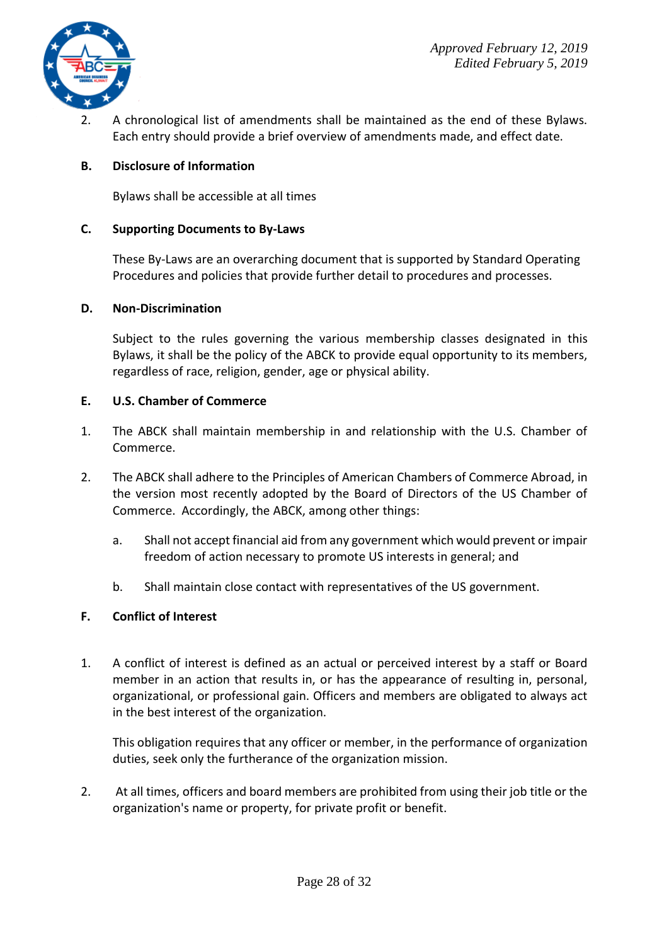



2. A chronological list of amendments shall be maintained as the end of these Bylaws. Each entry should provide a brief overview of amendments made, and effect date.

#### **B. Disclosure of Information**

Bylaws shall be accessible at all times

#### **C. Supporting Documents to By-Laws**

These By-Laws are an overarching document that is supported by Standard Operating Procedures and policies that provide further detail to procedures and processes.

#### **D. Non-Discrimination**

Subject to the rules governing the various membership classes designated in this Bylaws, it shall be the policy of the ABCK to provide equal opportunity to its members, regardless of race, religion, gender, age or physical ability.

#### **E. U.S. Chamber of Commerce**

- 1. The ABCK shall maintain membership in and relationship with the U.S. Chamber of Commerce.
- 2. The ABCK shall adhere to the Principles of American Chambers of Commerce Abroad, in the version most recently adopted by the Board of Directors of the US Chamber of Commerce. Accordingly, the ABCK, among other things:
	- a. Shall not accept financial aid from any government which would prevent or impair freedom of action necessary to promote US interests in general; and
	- b. Shall maintain close contact with representatives of the US government.

#### **F. Conflict of Interest**

1. A conflict of interest is defined as an actual or perceived interest by a staff or Board member in an action that results in, or has the appearance of resulting in, personal, organizational, or professional gain. Officers and members are obligated to always act in the best interest of the organization.

This obligation requires that any officer or member, in the performance of organization duties, seek only the furtherance of the organization mission.

2. At all times, officers and board members are prohibited from using their job title or the organization's name or property, for private profit or benefit.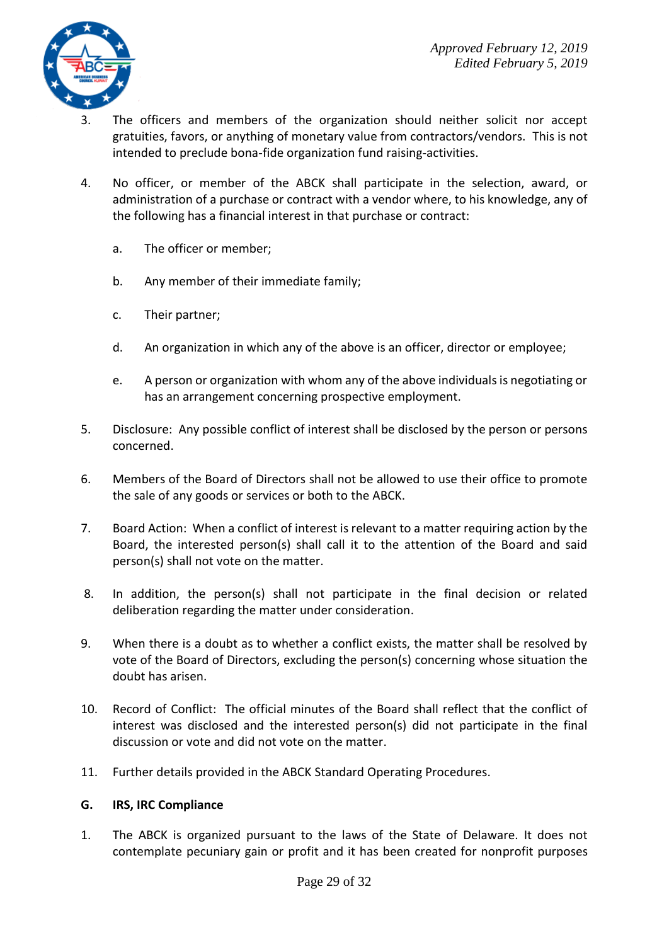

- 3. The officers and members of the organization should neither solicit nor accept gratuities, favors, or anything of monetary value from contractors/vendors. This is not intended to preclude bona-fide organization fund raising-activities.
- 4. No officer, or member of the ABCK shall participate in the selection, award, or administration of a purchase or contract with a vendor where, to his knowledge, any of the following has a financial interest in that purchase or contract:
	- a. The officer or member;
	- b. Any member of their immediate family;
	- c. Their partner;
	- d. An organization in which any of the above is an officer, director or employee;
	- e. A person or organization with whom any of the above individuals is negotiating or has an arrangement concerning prospective employment.
- 5. Disclosure: Any possible conflict of interest shall be disclosed by the person or persons concerned.
- 6. Members of the Board of Directors shall not be allowed to use their office to promote the sale of any goods or services or both to the ABCK.
- 7. Board Action: When a conflict of interest is relevant to a matter requiring action by the Board, the interested person(s) shall call it to the attention of the Board and said person(s) shall not vote on the matter.
- 8. In addition, the person(s) shall not participate in the final decision or related deliberation regarding the matter under consideration.
- 9. When there is a doubt as to whether a conflict exists, the matter shall be resolved by vote of the Board of Directors, excluding the person(s) concerning whose situation the doubt has arisen.
- 10. Record of Conflict: The official minutes of the Board shall reflect that the conflict of interest was disclosed and the interested person(s) did not participate in the final discussion or vote and did not vote on the matter.
- 11. Further details provided in the ABCK Standard Operating Procedures.

#### **G. IRS, IRC Compliance**

1. The ABCK is organized pursuant to the laws of the State of Delaware. It does not contemplate pecuniary gain or profit and it has been created for nonprofit purposes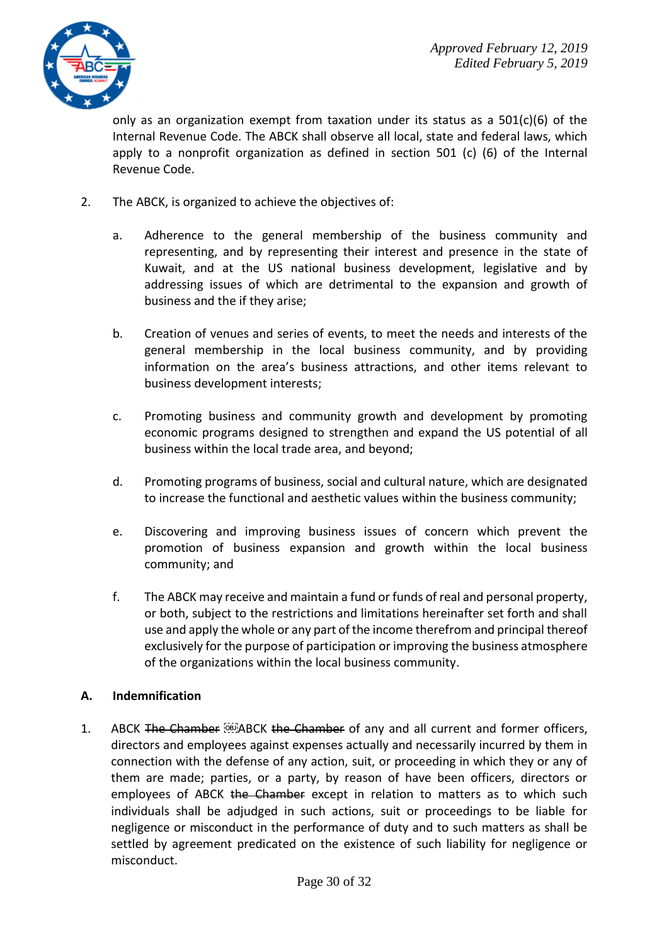

only as an organization exempt from taxation under its status as a  $501(c)(6)$  of the Internal Revenue Code. The ABCK shall observe all local, state and federal laws, which apply to a nonprofit organization as defined in section 501 (c) (6) of the Internal Revenue Code.

- 2. The ABCK, is organized to achieve the objectives of:
	- a. Adherence to the general membership of the business community and representing, and by representing their interest and presence in the state of Kuwait, and at the US national business development, legislative and by addressing issues of which are detrimental to the expansion and growth of business and the if they arise;
	- b. Creation of venues and series of events, to meet the needs and interests of the general membership in the local business community, and by providing information on the area's business attractions, and other items relevant to business development interests;
	- c. Promoting business and community growth and development by promoting economic programs designed to strengthen and expand the US potential of all business within the local trade area, and beyond;
	- d. Promoting programs of business, social and cultural nature, which are designated to increase the functional and aesthetic values within the business community;
	- e. Discovering and improving business issues of concern which prevent the promotion of business expansion and growth within the local business community; and
	- f. The ABCK may receive and maintain a fund or funds of real and personal property, or both, subject to the restrictions and limitations hereinafter set forth and shall use and apply the whole or any part of the income therefrom and principal thereof exclusively for the purpose of participation or improving the business atmosphere of the organizations within the local business community.

#### **A. Indemnification**

1. ABCK The Chamber **Musical Chamber of any and all current and former officers**, directors and employees against expenses actually and necessarily incurred by them in connection with the defense of any action, suit, or proceeding in which they or any of them are made; parties, or a party, by reason of have been officers, directors or employees of ABCK the Chamber except in relation to matters as to which such individuals shall be adjudged in such actions, suit or proceedings to be liable for negligence or misconduct in the performance of duty and to such matters as shall be settled by agreement predicated on the existence of such liability for negligence or misconduct.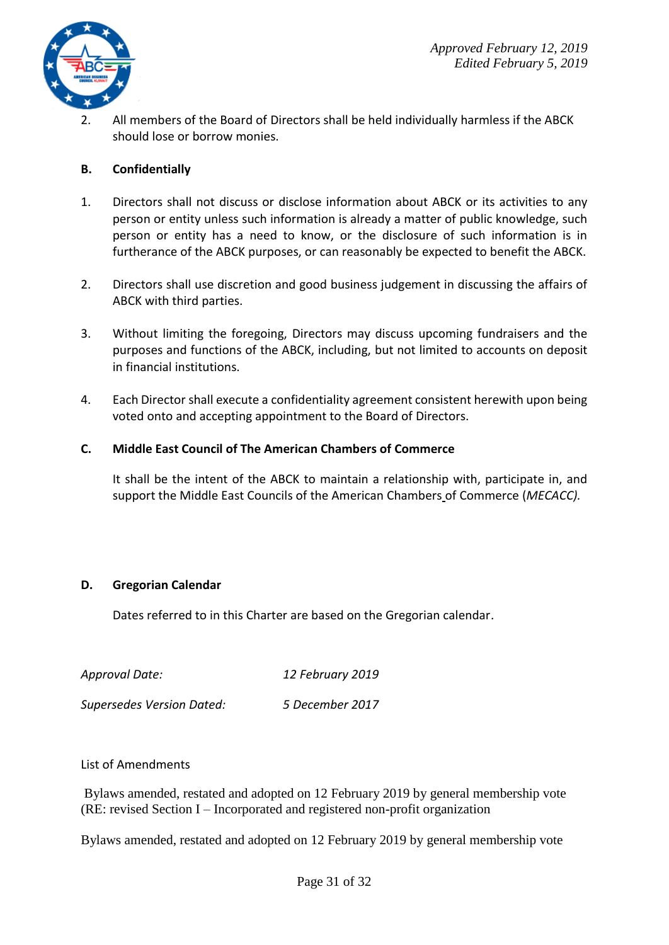

2. All members of the Board of Directors shall be held individually harmless if the ABCK should lose or borrow monies.

#### **B. Confidentially**

- 1. Directors shall not discuss or disclose information about ABCK or its activities to any person or entity unless such information is already a matter of public knowledge, such person or entity has a need to know, or the disclosure of such information is in furtherance of the ABCK purposes, or can reasonably be expected to benefit the ABCK.
- 2. Directors shall use discretion and good business judgement in discussing the affairs of ABCK with third parties.
- 3. Without limiting the foregoing, Directors may discuss upcoming fundraisers and the purposes and functions of the ABCK, including, but not limited to accounts on deposit in financial institutions.
- 4. Each Director shall execute a confidentiality agreement consistent herewith upon being voted onto and accepting appointment to the Board of Directors.

#### **C. Middle East Council of The American Chambers of Commerce**

It shall be the intent of the ABCK to maintain a relationship with, participate in, and support the Middle East Councils of the American Chambers of Commerce (*MECACC).*

#### **D. Gregorian Calendar**

Dates referred to in this Charter are based on the Gregorian calendar.

| Approval Date:                   | 12 February 2019 |
|----------------------------------|------------------|
| <b>Supersedes Version Dated:</b> | 5 December 2017  |

#### List of Amendments

Bylaws amended, restated and adopted on 12 February 2019 by general membership vote (RE: revised Section I – Incorporated and registered non-profit organization

Bylaws amended, restated and adopted on 12 February 2019 by general membership vote